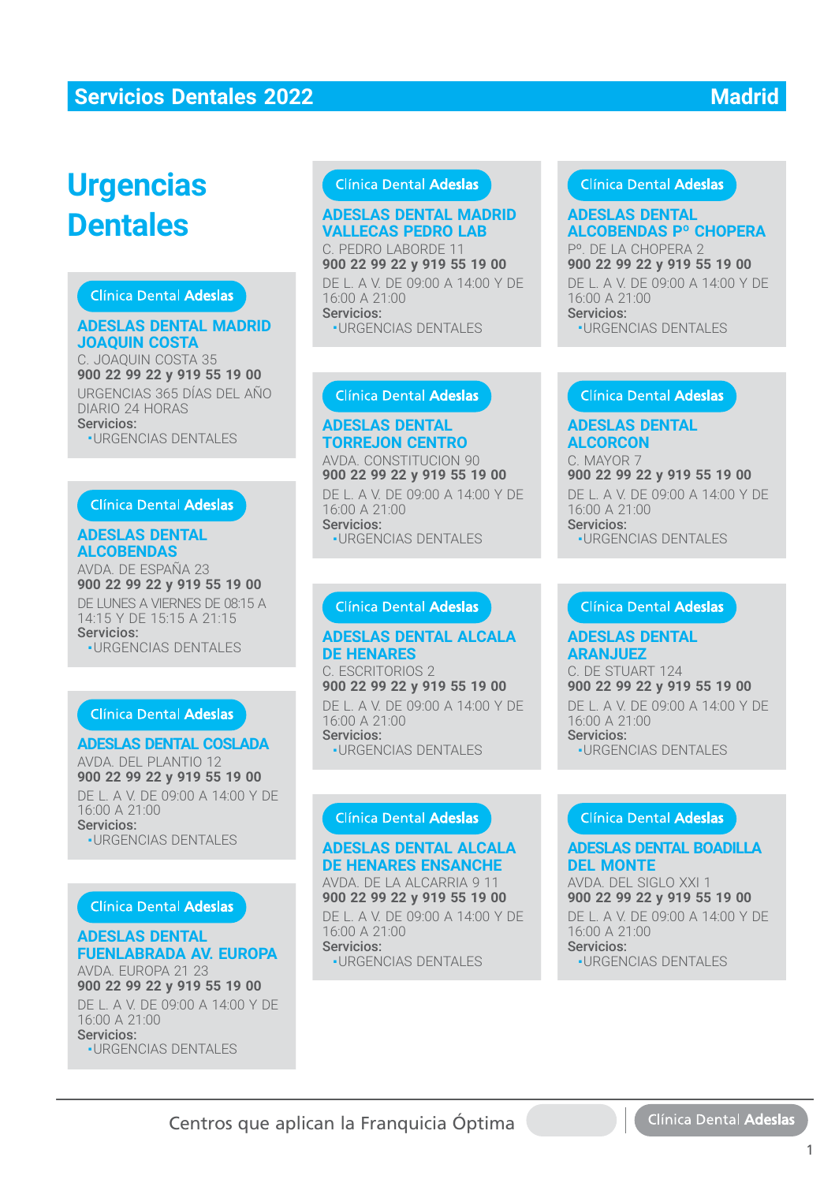# **Urgencias Dentales**

#### Clínica Dental Adeslas

#### **ADESLAS DENTAL MADRID JOAQUIN COSTA**

C. JOAQUIN COSTA 35 **900 22 99 22 y 919 55 19 00** URGENCIAS 365 DÍAS DEL AÑO DIARIO 24 HORAS Servicios:

■ URGENCIAS DENTALES

#### Clínica Dental Adeslas

#### **ADESLAS DENTAL ALCOBENDAS**

AVDA. DE ESPAÑA 23 **900 22 99 22 y 919 55 19 00** DE LUNES A VIERNES DE 08:15 A 14:15 Y DE 15:15 A 21:15 Servicios: ■ URGENCIAS DENTALES

## **Clínica Dental Adeslas**

#### **ADESLAS DENTAL COSLADA**

AVDA. DEL PLANTIO 12 **900 22 99 22 y 919 55 19 00** DE L. A V. DE 09:00 A 14:00 Y DE 16:00 A 21:00 Servicios: ■ URGENCIAS DENTALES

#### **Clínica Dental Adeslas**

#### **ADESLAS DENTAL FUENLABRADA AV. EUROPA**

AVDA. EUROPA 21 23 **900 22 99 22 y 919 55 19 00** DE L. A V. DE 09:00 A 14:00 Y DE 16:00 A 21:00 Servicios: ■ URGENCIAS DENTALES

## Clínica Dental Adeslas

#### **ADESLAS DENTAL MADRID VALLECAS PEDRO LAB**

C. PEDRO LABORDE 11 **900 22 99 22 y 919 55 19 00 900 22 99 22 y 919 55 19 00**DE L. A V. DE 09:00 A 14:00 Y DE DE L. A V. DE 09:00 A 14:00 Y DE16:00 A 21:00 Servicios: Servicios:■ URGENCIAS DENTALES

#### **ADESLAS DENTAL ADESLAS DENTAL TORREJON CENTRO**

AVDA. CONSTITUCION 90 AVDA. CONSTITUCION 90**900 22 99 22 y 919 55 19 00** DE L. A V. DE 09:00 A 14:00 Y DE DE L. A V. DE 09:00 A 14:00 Y DE

16:00 A 21:00 Servicios: Servicios:■ URGENCIAS DENTALES

#### **ADESLAS DENTAL ALCALA ADESLAS DENTAL ALCALADE HENARES**

C. ESCRITORIOS 2 C. ESCRITORIOS 2**900 22 99 22 y 919 55 19 00** DE L. A V. DE 09:00 A 14:00 Y DE DE L. A V. DE 09:00 A 14:00 Y DE16:00 A 21:00 Servicios: Servicios:- URGENCIAS DENTALES ■URGENCIAS DENTALES**ADESLAS DENTAL**

#### **ADESLAS DENTAL ALCALA DE HENARES ENSANCHE DE HENARES ENSANCHE**

AVDA. DE LA ALCARRIA 9 11 **900 22 99 22 y 919 55 19 00** DE L. A V. DE 09:00 A 14:00 Y DE

16:00 A 21:00 16:00 A 21:00Servicios: -<br>-URGENCIAS DENTALES

#### **Clínica Dental Adeslas**

## **ALCOBENDAS Pº CHOPERA ADESLAS DENTAL**

Pº. DE LA CHOPERA 2 **900 22 99 22 y 919 55 19 00 900 22 99 22 y 919 55 19 00**DE L. A V. DE 09:00 A 14:00 Y DE DE L. A V. DE 09:00 A 14:00 Y DE16:00 A 21:00 Servicios: Servicios:■ URGENCIAS DENTALES

#### **ADESLAS DENTAL ADESLAS DENTAL ALCORCON**

C. MAYOR 7 C. MAYOR 7**900 22 99 22 y 919 55 19 00** DE L. A V. DE 09:00 A 14:00 Y DE DE L. A V. DE 09:00 A 14:00 Y DE16:00 A 21:00 Servicios: Servicios:■ URGENCIAS DENTALES

#### **ADESLAS DENTAL ADESLAS DENTALARANJUEZ**

C. DE STUART 124 C. DE STUART 124**900 22 99 22 y 919 55 19 00** DE L. A V. DE 09:00 A 14:00 Y DE DE L. A V. DE 09:00 A 14:00 Y DE16:00 A 21:00 Servicios: Servicios:**-URGENCIAS DENTALES** 

#### **ADESLAS DENTAL BOADILLA DEL MONTE DEL MONTE**

AVDA. DEL SIGLO XXI 1 **900 22 99 22 y 919 55 19 00** DE L. A V. DE 09:00 A 14:00 Y DE 16:00 A 21:00 16:00 A 21:00Servicios: ■ URGENCIAS DENTALES ■URGENCIAS DENTALES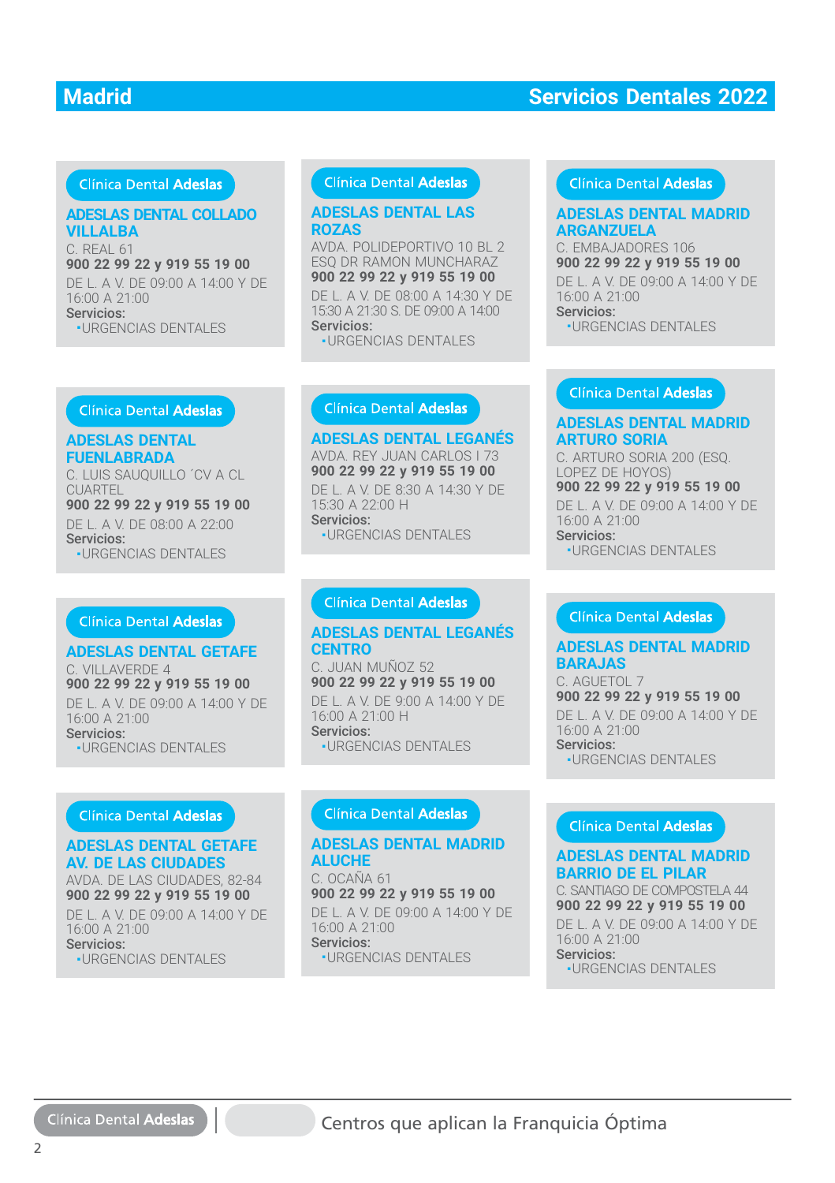## Clínica Dental Adeslas

#### **ADESLAS DENTAL COLLADO VILLALBA**

C. REAL 61 **900 22 99 22 y 919 55 19 00 900 22 99 22 y 919 55 19 00**DE L. A V. DE 09:00 A 14:00 Y DE DE L. A V. DE 09:00 A 14:00 Y DE16:00 A 21:00 Servicios: Servicios:■ URGENCIAS DENTALES

#### **Clínica Dental Adeslas**

#### **ROZAS ADESLAS DENTAL LAS**

AVDA. POLIDEPORTIVO 10 BL 2 AVDA. POLIDEPORTIVO 10 BL 2ESQ DR RAMON MUNCHARAZ **900 22 99 22 y 919 55 19 00 900 22 99 22 y 919 55 19 00**

DE L. A V. DE 08:00 A 14:30 Y DE DE L. A V. DE 08:00 A 14:30 Y DE 15:30 A 21:30 S. DE 09:00 A 14:00 15:30 A 21:30 S. DE 09:00 A 14:00 Servicios: Servicios:

**ADESLAS DENTAL LEGANÉS** AVDA. REY JUAN CARLOS I 73 **900 22 99 22 y 919 55 19 00**

■ URGENCIAS DENTALES URGENCIAS DENTALES

#### Clínica Dental Adeslas

# **ARGANZUELA**

C. EMBAJADORES 106 **900 22 99 22 y 919 55 19 00** DE L. A V. DE 09:00 A 14:00 Y DE 16:00 A 21:00 Servicios: ■ URGENCIAS DENTALES

#### **ADESLAS DENTAL FUENLABRADA FUENLABRADA**

C. LUIS SAUQUILLO ´CV A CL CUARTEL CUARTEL**900 22 99 22 y 919 55 19 00** DE L. A V. DE 08:00 A 22:00 DE L. A V. DE 08:00 A 22:00Servicios: ■ URGENCIAS DENTALES ■ URGENCIAS DENTALES

#### **ADESLAS DENTAL GETAFE**

C. VILLAVERDE 4 C. VILLAVERDE 4**900 22 99 22 y 919 55 19 00** DE L. A V. DE 09:00 A 14:00 Y DE DE L. A V. DE 09:00 A 14:00 Y DE16:00 A 21:00 Servicios: Servicios:■ URGENCIAS DENTALES **DESLAS DENTAL COLLADO**<br> **ILLALBA**<br> **REAL 61<br>
REAL 61<br>
REAL 61<br>
2.9 22 y 919 55 19 00<br>
2.9 22 y 919 55 19 00<br>
2.9 22 y 919 55 19 00<br>
2.9 92 y 919 55 19<br>
DEL A V DE 09:00 A 14:00 Y DE<br>
URGENCIAS DENTALES<br>
Clinica Dental Ade** 

#### **ADESLAS DENTAL GETAFE AV. DE LAS CIUDADES AV. DE LAS CIUDADES**

AVDA. DE LAS CIUDADES, 82-84 AVDA. DE LAS CIUDADES, 82-84**900 22 99 22 y 919 55 19 00** DE L. A V. DE 09:00 A 14:00 Y DE

16:00 A 21:00 16:00 A 21:00Servicios: -<br>-URGENCIAS DENTALES DE L. A V. DE 8:30 A 14:30 Y DE DE L. A V. DE 8:30 A 14:30 Y DE15:30 A 22:00 H Servicios: Servicios:

■ URGENCIAS DENTALES

#### **ADESLAS DENTAL LEGANÉS ADESLAS DENTAL LEGANÉSCENTRO**

C. JUAN MUÑOZ 52 C. JUAN MUÑOZ 52**900 22 99 22 y 919 55 19 00** DE L. A V. DE 9:00 A 14:00 Y DE DE L. A V. DE 9:00 A 14:00 Y DE16:00 A 21:00 H Servicios: Servicios:■ URGENCIAS DENTALES

#### ADESLAS DENTAL MAD<mark>RID</mark><br>ALUCHE **ALUCHE**

C. OCAÑA 61 C. OCAÑA 61**900 22 99 22 y 919 55 19 00** DE L. A V. DE 09:00 A 14:00 Y DE 16:00 A 21:00 16:00 A 21:00Servicios: -<br>-URGENCIAS DENTALES

#### **ADESLAS DENTAL MADRID ARTURO SORIA**

C. ARTURO SORIA 200 (ESQ. LOPEZ DE HOYOS) **900 22 99 22 y 919 55 19 00** DE L. A V. DE 09:00 A 14:00 Y DE 16:00 A 21:00 Servicios: ■ URGENCIAS DENTALES

#### **ADESLAS DENTAL MADRID BARAJAS**

C. AGUETOL 7 **900 22 99 22 y 919 55 19 00** DE L. A V. DE 09:00 A 14:00 Y DE 16:00 A 21:00 Servicios: ■ URGENCIAS DENTALES

**DESIAS DENTAL LEGANES**<br> **DENAS ADESTADE ARGANZUELA**<br>
COLDEPORTIVO DEL C. EMBALANDRES 106<br>
2029 92 92 919 55 19 00<br>
DO 22 99 22 919 55 19 00<br>
DEL A V. DE 08:00 A 14:00 Y DE LA V. DE 09:00 A 14:00 Y D<br>
SELA S DENTAL LEGANÉS **ADESLAS DENTAL MADRID BARRIO DE EL PILAR** C. SANTIAGO DE COMPOSTELA 44 **900 22 99 22 y 919 55 19 00** DE L. A V. DE 09:00 A 14:00 Y DE 16:00 A 21:00 Servicios: ■ URGENCIAS DENTALES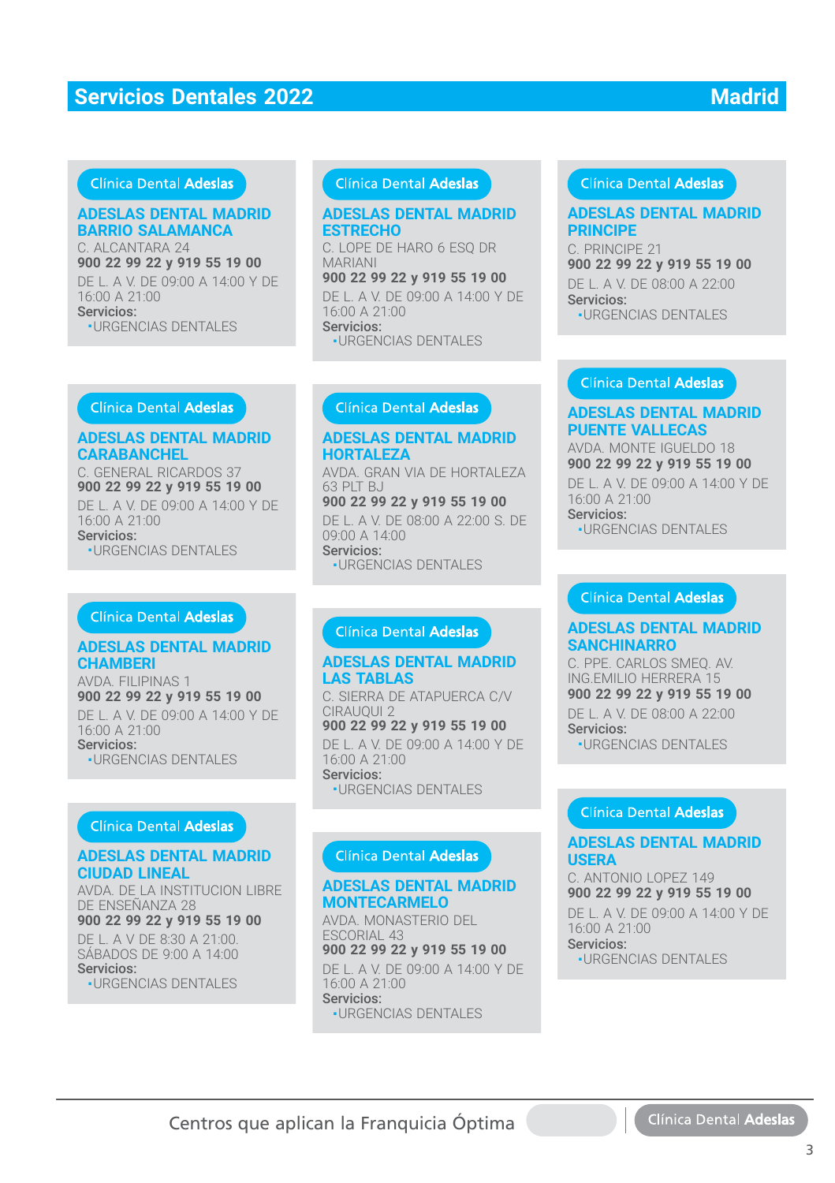#### Clínica Dental Adeslas

#### **ADESLAS DENTAL MADRID BARRIO SALAMANCA**

C. ALCANTARA 24 **900 22 99 22 y 919 55 19 00** DE L. A V. DE 09:00 A 14:00 Y DE 16:00 A 21:00 Servicios:

■ URGENCIAS DENTALES

## Clínica Dental Adeslas

#### **ADESLAS DENTAL MADRID ESTRECHO**

C. LOPE DE HARO 6 ESQ DR MARIANI **900 22 99 22 y 919 55 19 00**

DE L. A V. DE 09:00 A 14:00 Y DE 16:00 A 21:00 Servicios: **ESTRECHO**<br>
C. LOPE DE HARO 6 ESQ DR<br>
MARIANI<br>
900 22 99 22 y 919 55 19 00<br>
DE L. A V. DE 09:00 A 14:00 Y D<br>
16:00 A 21:00<br>
Servicios:<br>
·URGENCIAS DENTALES<br>
Clínica Dental Adeslas<br>
ADESLAS DENTAL MADRID

■ URGENCIAS DENTALES

# **HORTALEZA**

AVDA. GRAN VIA DE HORTALEZA 63 PLT BJ

**900 22 99 22 y 919 55 19 00** DE L. A V. DE 08:00 A 22:00 S. DE 09:00 A 14:00 Servicios: ■ URGENCIAS DENTALES

#### **Clínica Dental Adeslas**

#### **ADESLAS DENTAL MADRID LAS TABLAS**

C. SIERRA DE ATAPUERCA C/V CIRAUQUI 2 **900 22 99 22 y 919 55 19 00** DE L. A V. DE 09:00 A 14:00 Y DE 16:00 A 21:00 Servicios: ■ URGENCIAS DENTALES

## Clínica Dental Adeslas

#### **ADESLAS DENTAL MADRID MONTECARMELO**

AVDA. MONASTERIO DEL ESCORIAL 43 **900 22 99 22 y 919 55 19 00** DE L. A V. DE 09:00 A 14:00 Y DE 16:00 A 21:00 Servicios: ■ URGENCIAS DENTALES

#### Clínica Dental Adeslas

#### **ADESLAS DENTAL MADRID PRINCIPE**

C. PRINCIPE 21 **900 22 99 22 y 919 55 19 00** DE L. A V. DE 08:00 A 22:00 Servicios: ■ URGENCIAS DENTALES URGENCIAS DENTALES

#### **Clínica Dental Adeslas**

#### **ADESLAS DENTAL MADRID PUENTE VALLECAS**

AVDA. MONTE IGUELDO 18 AVDA. MONTE IGUELDO 18**900 22 99 22 y 919 55 19 00** DE L. A V. DE 09:00 A 14:00 Y DE 16:00 A 21:00 Servicios:

**-URGENCIAS DENTALES** 

#### Clínica Dental Adeslas

#### **ADESLAS DENTAL MADRID SANCHINARRO**

C. PPE. CARLOS SMEQ. AV. C. PPE. CARLOS SMEQ. AV.ING.EMILIO HERRERA 15 **900 22 99 22 y 919 55 19 00** DE L. A V. DE 08:00 A 22:00 Servicios: **-URGENCIAS DENTALES** 

#### Clínica Dental Adeslas

#### **ADESLAS DENTAL MADRID USERA**

C. ANTONIO LOPEZ 149 C. ANTONIO LOPEZ 149**900 22 99 22 y 919 55 19 00** DE L. A V. DE 09:00 A 14:00 Y DE 16:00 A 21:00 Servicios<sup>.</sup> **-URGENCIAS DENTALES** 

#### Clínica Dental Adeslas

#### **ADESLAS DENTAL MADRID CARABANCHEL**

C. GENERAL RICARDOS 37 C. GENERAL RICARDOS 37**900 22 99 22 y 919 55 19 00** DE L. A V. DE 09:00 A 14:00 Y DE 16:00 A 21:00 Servicios: ■ URGENCIAS DENTALES

#### Clínica Dental Adeslas

#### **ADESLAS DENTAL MADRID CHAMBERI**

AVDA. FILIPINAS 1 **900 22 99 22 y 919 55 19 00** DE L. A V. DE 09:00 A 14:00 Y DE 16:00 A 21:00 Servicios: ■ URGENCIAS DENTALES

#### Clínica Dental Adeslas

#### **ADESLAS DENTAL MADRID CIUDAD LINEAL**

AVDA. DE LA INSTITUCION LIBRE DE ENSEÑANZA 28

## **900 22 99 22 y 919 55 19 00**

DE L. A V DE 8:30 A 21:00. SÁBADOS DE 9:00 A 14:00 Servicios: ■ URGENCIAS DENTALES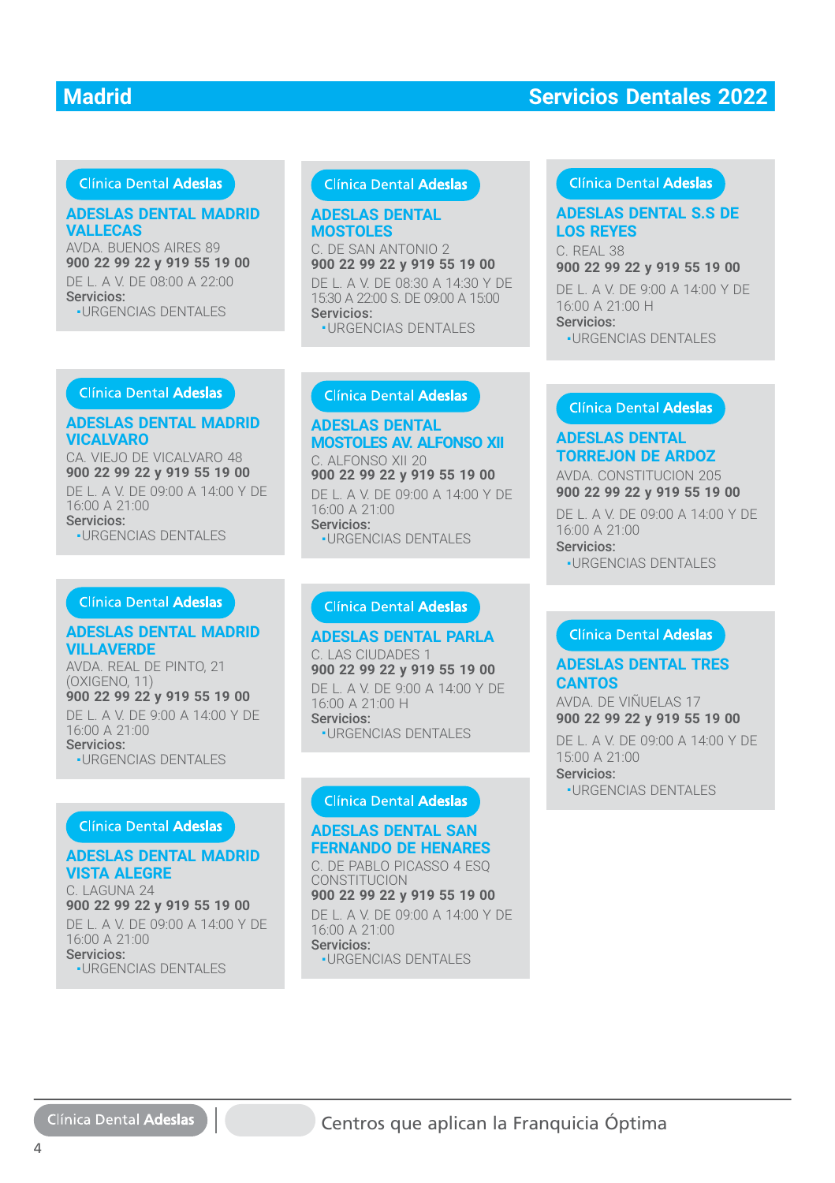#### Clínica Dental Adeslas

#### **ADESLAS DENTAL MADRID VALLECAS**

AVDA. BUENOS AIRES 89 **900 22 99 22 y 919 55 19 00** DE L. A V. DE 08:00 A 22:00 Servicios: ■ URGENCIAS DENTALES

#### **Clínica Dental Adeslas**

#### **ADESLAS DENTAL MOSTOLES**

C. DE SAN ANTONIO 2 **900 22 99 22 y 919 55 19 00 900 22 99 22 y 919 55 19 00**DE L. A V. DE 08:30 A 14:30 Y DE DE L. A V. DE 08:30 A 14:30 Y DE15:30 A 22:00 S. DE 09:00 A 15:00 Servicios: Servicios:■ URGENCIAS DENTALES

# Clínica Dental Adeslas

**LOS REYES** C. REAL 38

**900 22 99 22 y 919 55 19 00 900 22 99 22 y 919 55 19 00**

DE L. A V. DE 9:00 A 14:00 Y DE 16:00 A 21:00 H Servicios: ■ URGENCIAS DENTALES ■URGENCIAS DENTALES

Clínica Dental Adeslas

#### **ADESLAS DENTAL MADRID VICALVARO**

CA. VIEJO DE VICALVARO 48 **900 22 99 22 y 919 55 19 00** DE L. A V. DE 09:00 A 14:00 Y DE 16:00 A 21:00 Servicios: ■ URGENCIAS DENTALES

#### Clínica Dental Adeslas

#### **ADESLAS DENTAL MADRID VILLAVERDE**

AVDA. REAL DE PINTO, 21 (OXIGENO, 11) **900 22 99 22 y 919 55 19 00** DE L. A V. DE 9:00 A 14:00 Y DE 16:00 A 21:00 Servicios: ■ URGENCIAS DENTALES

#### Clínica Dental Adeslas

**ADESLAS DENTAL MADRID VISTA ALEGRE** C. LAGUNA 24 **900 22 99 22 y 919 55 19 00** DE L. A V. DE 09:00 A 14:00 Y DE 16:00 A 21:00 Servicios: ■ URGENCIAS DENTALES

**ADESLAS DENTAL ADESLAS DENTAL MOSTOLES AV. ALFONSO XII** C. ALFONSO XII 20 C. ALFONSO XII 20**900 22 99 22 y 919 55 19 00** DE L. A V. DE 09:00 A 14:00 Y DE DE L. A V. DE 09:00 A 14:00 Y DE16:00 A 21:00 Servicios: Servicios:■ URGENCIAS DENTALES **DESTIAS DENTAL ADEGENAS DENTAL S.S DE<br>
DISTOLES<br>
DE SAN ANTONIO 2<br>
DE SAN ANTONIO 2<br>
DE SAN ANTONIO 2<br>
EL A V. DE 0830 A 1430 Y DE<br>
EL A V. DE 0830 A 1430 Y DE<br>
URGENCIAS DENTALES<br>
CENDENCIAS DENTALES<br>
CENDENCIAS DENTAL<br>** 

## **ADESLAS DENTAL PARLA ADESLAS DENTAL PARLA**

C. LAS CIUDADES 1 **900 22 99 22 y 919 55 19 00 900 22 99 22 y 919 55 19 00**DE L. A V. DE 9:00 A 14:00 Y DE 16:00 A 21:00 H 16:00 A 21:00 HServicios:

■ URGENCIAS DENTALES URGENCIAS DENTALES

#### **ADESLAS DENTAL SAN ADESLAS DENTAL SAN FERNANDO DE HENARES**

C. DE PABLO PICASSO 4 ESQ CONSTITUCION CONSTITUCION**900 22 99 22 y 919 55 19 00** DE L. A V. DE 09:00 A 14:00 Y DE 16:00 A 21:00 16:00 A 21:00Servicios: -<br>-URGENCIAS DENTALES

#### **ADESLAS DENTAL TORREJON DE ARDOZ**

AVDA. CONSTITUCION 205 **900 22 99 22 y 919 55 19 00 900 22 99 22 y 919 55 19 00**DE L. A V. DE 09:00 A 14:00 Y DE 16:00 A 21:00 Servicios:

■ URGENCIAS DENTALES ■URGENCIAS DENTALES

#### **ADESLAS DENTAL TRES ADESLAS DENTAL TRES CANTOS CANTOS**

AVDA. DE VIÑUELAS 17 AVDA. DE VIÑUELAS 17 **900 22 99 22 y 919 55 19 00 900 22 99 22 y 919 55 19 00**

DE L. A V. DE 09:00 A 14:00 Y DE DE L. A V. DE 09:00 A 14:00 Y DE 15:00 A 21:00 15:00 A 21:00Servicios: Servicios: **-URGENCIAS DENTALES** 

Clínica Dental Adeslas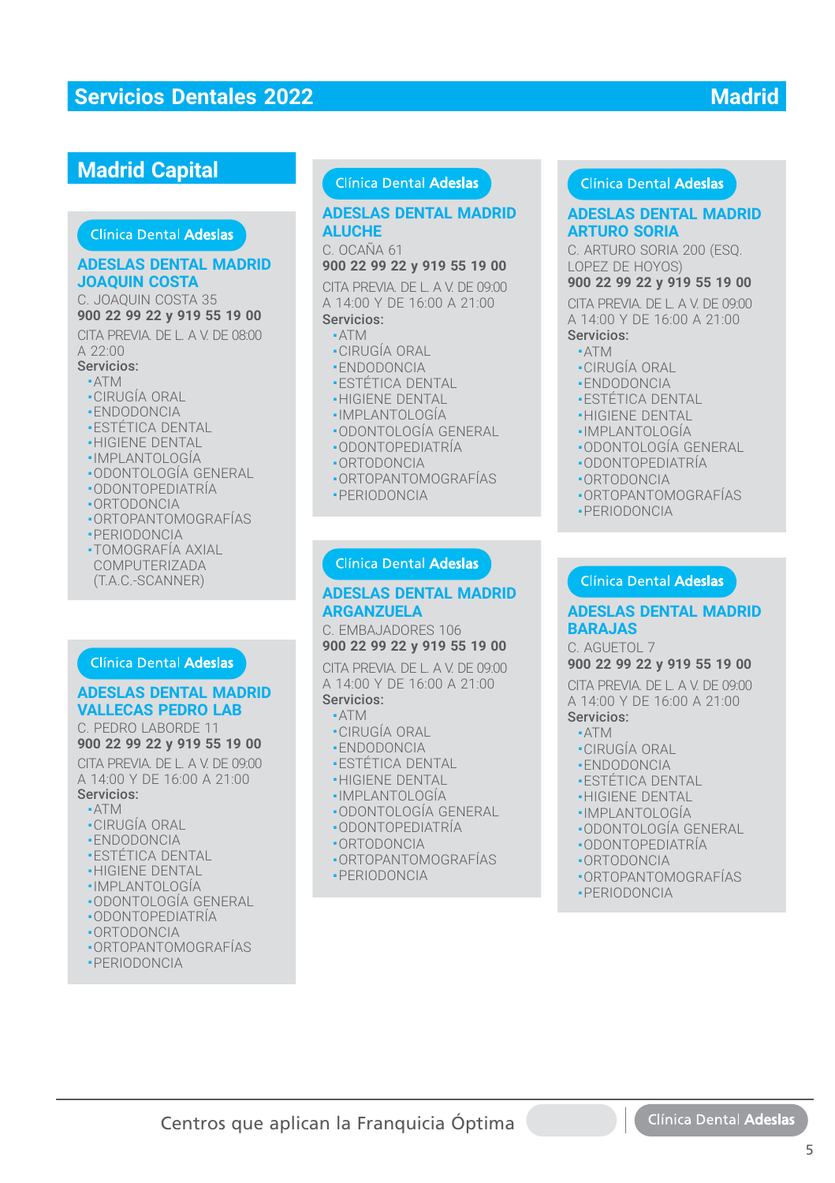## **Madrid Capital**

#### **ADESLAS DENTAL MADRID ADESLAS DENTAL MADRIDJOAQUIN COSTA**

C. JOAQUIN COSTA 35 **900 22 99 22 y 919 55 19 00 900 22 99 22 y 919 55 19 00**

CITA PREVIA. DE L. A V. DE 08:00<br>A 22:00 A 22:00

- Servicios:
- ATM ATM
- CIRUGÍA ORAL ■CIRUGÍA ORAL
- ENDODONCIA
- **ESTÉTICA DENTAL**
- HIGIENE DENTAL ■HIGIENE DENTAL
- IMPLANTOLOGÍA ■
- ODONTOLOGÍA GENERAL
- ODONTOPEDIATRÍA ODONTOPEDIATRÍA
- ORTODONCIA ■ORTODONCIA
- ORTOPANTOMOGRAFÍAS
- PERIODONCIA PERIODONCIA
- TOMOGRAFÍA AXIAL ■TOMOGRAFÍA AXIALCOMPUTERIZADA
- (T.A.C.-SCANNER)

#### **ADESLAS DENTAL MADRID VALLECAS PEDRO LAB**

C. PEDRO LABORDE 11 C. PEDRO LABORDE 11<br>**900 22 99 22 y 919 55 19 00**<br>CITA PREVIA. DE L. A V. DE 09:00

#### **900 22 99 22 y 919 55 19 00**

CITA PREVIA. DE L. A V. DE 09:00 A 14:00 Y DE 16:00 A 21:00

- Servicios:
	- ATM ■ATM■ CIRUGÍA ORAL
	- ENDODONCIA
	-
	- ESTÉTICA DENTAL ESTÉTICA DENTAL
	- •HIGIENE DENTAL ■ IMPLANTOLOGÍA
	-
	- ODONTOLOGÍA GENERAL ODONTOLOGÍA GENERAL
	- ODONTOPEDIATRÍA ■ODONTOPEDIATRÍA■ ORTODONCIA
	-
	- ORTOPANTOMOGRAFÍAS
	- PERIODONCIA

## Clínica Dental Adeslas

# **ALUCHE**

C. OCAÑA 61

#### **900 22 99 22 y 919 55 19 00**

**CONFIDENTIFICATION**<br> **CONFIDENTIFICATION ADEXEMPTION CONTRACT CONTRACT CONTRACT CONTRACT CONTRACT CONFIDENTIFICATION CONTRACT CONFIDENTIFICATION CONTRACT CONFIDENTIFICATION CONTRACT CONFIDENTIFICATION CONFIDENTIFICATION C** CITA PREVIA. DE L. A V. DE 09:00 A 14:00 Y DE 16:00 A 21:00 Servicios: **DESLAS DENTAL MADRID**<br>
2012 29 22 y 919 55 19 00<br>
102 29 22 y 919 55 19 00<br>
14:00 Y DE 16:00 A 21:00<br>
14:00 Y DE 16:00 A 21:00<br>
14:00 Y DE 16:00 A 21:00<br>
14:00 Y DE 16:00 A 21:00<br>
14:00 Y DE 16:00 A 21:00<br>
2012 99 22 y 91

#### ■ ATM

- -ATM<br>•CIRUGÍA ORAL<br>•ENDODONCIA
- ENDODONCIA
- $\textcolor{red}{\bullet}$  ESTETICA DENTAL
- HIGIENE DENTAL
- IMPLANTOLOGÍA
- ODONTOLOGÍA GENERAL
- ODONTOPEDIATRÍA
- ORTODONCIA
- ORTOPANTOMOGRAFÍAS ■ PERIODONCIA

## **ADESLAS DENTAL MADRID ARGANZUELA ARGANZUELA**

C. EMBAJADORES 106 **900 22 99 22 y 919 55 19 00**

CITA PREVIA. DE L. A V. DE 09:00 A 14:00 Y DE 16:00 A 21:00 Servicios:

■ ATM

Centros que aplican la Franquicia Óptima

- CIRUGÍA ORAL
- ENDODONCIA
- •ENDODONCIA<br>•ESTÉTICA DENTAL<br>•HIGIENE DENTAL
- **-HIGIENE DENTAL**
- IMPLANTOLOGÍA ■IMPLANTOLOGÍA
- ODONTOLOGÍA GENERAL ■ODONTOLOGÍA GENERAL
- ODONTOPEDIATRÍA ■ODONTOPEDIATRÍA
- ORTODONCIA ■ORTODONCIA
- 
- ORTOPANTOMOGRAFÍAS ORTOPANTOMOGRAFÍAS■ PERIODONCIA

#### Clínica Dental Adeslas

# **ARTURO SORIA**

C. ARTURO SORIA 200 (ESQ. LOPEZ DE HOYOS)

#### **900 22 99 22 y 919 55 19 00**

CITA PREVIA. DE L. A V. DE 09:00 A 14:00 Y DE 16:00 A 21:00

#### Servicios:

- ATM
- CIRUGÍA ORAL
- ENDODONCIA
- ESTÉTICA DENTAL
- HIGIENE DENTAL
- IMPLANTOLOGÍA
- ODONTOLOGÍA GENERAL
- ODONTOPEDIATRÍA
- ORTODONCIA
- ORTOPANTOMOGRAFÍAS
- PERIODONCIA

#### **ADESLAS DENTAL MADRID ADESLAS DENTAL MADRIDBARAJAS**

C. AGUETOL 7 C. AGUETOL 7

#### **900 22 99 22 y 919 55 19 00 900 22 99 22 y 919 55 19 00**

CITA PREVIA. DE L. A V. DE 09:00 CITA PREVIA. DE L. A V. DE 09:00<br>A 14:00 Y DE 16:00 A 21:00

#### Servicios: Servicios:

- ATM ATM
- CIRUGÍA ORAL CIRUGÍA ORAL
- ENDODONCIA ENDODONCIA
- ESTÉTICA DENTAL ESTÉTICA DENTAL
- HIGIENE DENTAL HIGIENE DENTAL
- IMPLANTOLOGÍA IMPLANTOLOGÍA
- ODONTOLOGÍA GENERAL ODONTOLOGÍA GENERAL

■ ORTOPANTOMOGRAFÍAS ORTOPANTOMOGRAFÍAS

5

Clínica Dental Adeslas

- ODONTOPEDIATRÍA ODONTOPEDIATRÍA
- ORTODONCIA ORTODONCIA■ PERIODONCIA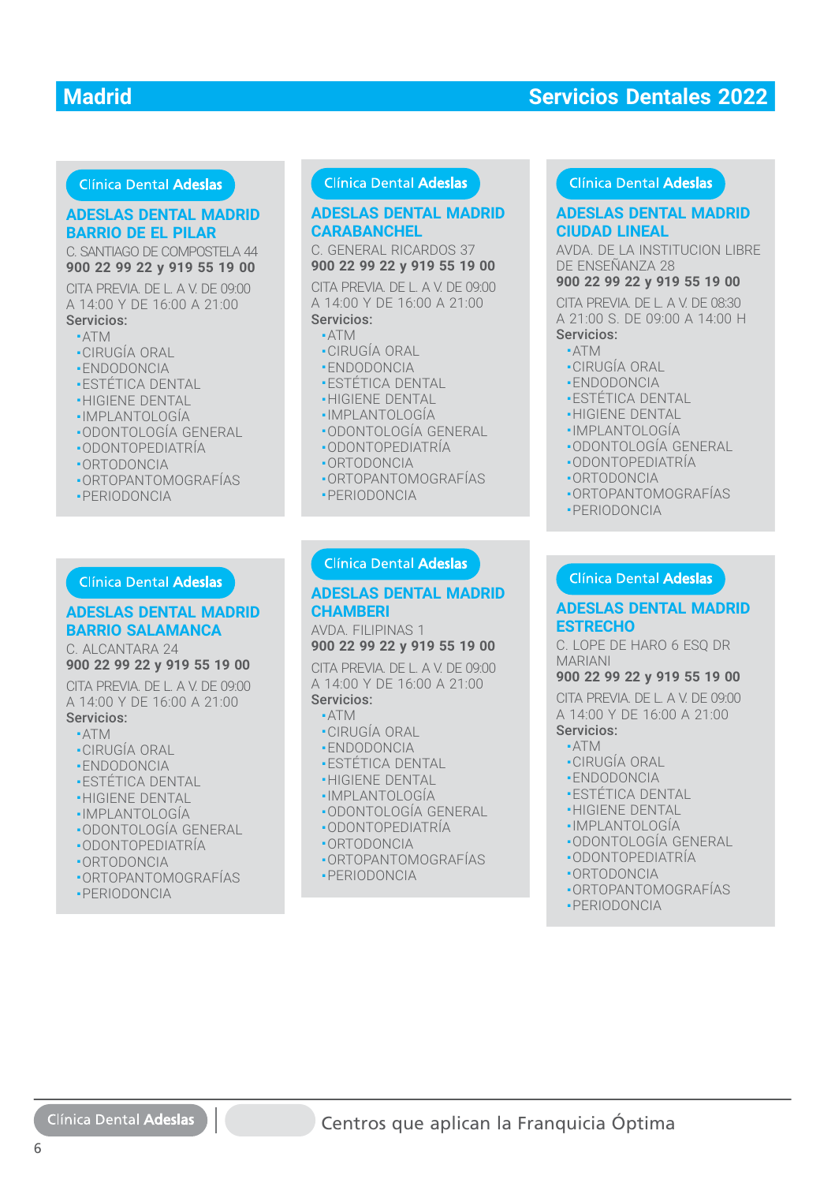#### **Clínica Dental Adeslas**

#### **ADESLAS DENTAL MADRID ADESLAS DENTAL MADRID BARRIO DE EL PILAR BARRIO DE EL PILAR**

C. SANTIAGO DE COMPOSTELA 44 **900 22 99 22 y 919 55 19 00**

CITA PREVIA. DE L. A V. DE 09:00 A 14:00 Y DE 16:00 A 21:00 Servicios:

#### ■ ATM

- CIRUGÍA ORAL
- ENDODONCIA
- ESTÉTICA DENTAL
- **-HIGIENE DENTAL**
- IMPLANTOLOGÍA ■
- · ODONTOLOGÍA GENERAL
- ODONTOPEDIATRÍA ■ODONTOPEDIATRÍA
- ORTODONCIA ■ORTODONCIA
- ORTOPANTOMOGRAFÍAS ■ORTOPANTOMOGRAFÍAS
- PERIODONCIA ■PERIODONCIA

## **ADESLAS DENTAL MADRID BARRIO SALAMANCA BARRIO SALAMANCA**

C. ALCANTARA 24

## **900 22 99 22 y 919 55 19 00**

CITA PREVIA. DE L. A V. DE 09:00 A 14:00 Y DE 16:00 A 21:00 Servicios:

- ATM
- CIRUGÍA ORAL
- ENDODONCIA
- ESTÉTICA DENTAL
- **-HIGIENE DENTAL**
- IMPLANTOLOGÍA
- •ODONTOLOGÍA GENERAL
- ODONTOPEDIATRÍA ■
- ORTODONCIA ■
- ORTOPANTOMOGRAFÍAS ■
- PERIODONCIA

#### **Clínica Dental Adeslas**

# **CARABANCHEL**

C. GENERAL RICARDOS 37 **900 22 99 22 y 919 55 19 00**

**DESLAS DENTAL MADRID**<br> **ARRISI DE L'PILAR CARABANCHEL MADRID**<br>
2012 29 22 y 919 55 19 00<br>
174 PREVIA DE LA V. DE 09:00 2012 29 22 y 919 55 19 00<br>
174 PREVIA DE LA V. DE 09:00 2012 29 22 y 919 55 19 00<br>
174 PREVIA DE LA V. CITA PREVIA. DE L. A V. DE 09:00 A 14:00 Y DE 16:00 A 21:00 Servicios: **DESLAS DENTAL MADRID**<br>
THERE THE SERVICES AND CURRICULAR CENTRAL GENERAL RICARDOS 37<br>
TA PREVIA DE LA V. DE 1990<br>
14:00 Y DE 16:00 A 21:00<br>
14:00 Y DE 16:00 A 21:00<br>
14:00 Y DE 16:00 A 21:00<br>
14:00 Y DE 16:00 A 21:00<br>
29:

#### ■ ATM

- -ATM<br>•CIRUGÍA ORAL<br>•ENDODONCIA
- ENDODONCIA
- $\textcolor{red}{\bullet}$  ESTETICA DENTAL
- HIGIENE DENTAL
- IMPLANTOLOGÍA
- ODONTOLOGÍA GENERAL
- ODONTOPEDIATRÍA
- ORTODONCIA
- ORTOPANTOMOGRAFÍAS
- PERIODONCIA

#### **ADESLAS DENTAL MADRID CHAMBERI CHAMBERI**

AVDA. FILIPINAS 1 **900 22 99 22 y 919 55 19 00**

CITA PREVIA. DE L. A V. DE 09:00 A 14:00 Y DE 16:00 A 21:00 Servicios:

#### ■ ATM

- CIRUGÍA ORAL
- ENDODONCIA
- 
- •ENDODONCIA<br>•ESTÉTICA DENTAL<br>•HIGIENE DENTAL **-HIGIENE DENTAL**
- IMPLANTOLOGÍA ■IMPLANTOLOGÍA
- ODONTOLOGÍA GENERAL ■ODONTOLOGÍA GENERAL
- ODONTOPEDIATRÍA ■ODONTOPEDIATRÍA
- ORTODONCIA ■ORTODONCIA
- ORTOPANTOMOGRAFÍAS ORTOPANTOMOGRAFÍAS
- PERIODONCIA

#### Clínica Dental Adeslas

## **CIUDAD LINEAL**

AVDA. DE LA INSTITUCION LIBRE DE ENSEÑANZA 28

#### **900 22 99 22 y 919 55 19 00**

CITA PREVIA. DE L. A V. DE 08:30 CITA PREVIA. DE L. A V. DE 08:30<br>A 21:00 S. DE 09:00 A 14:00 H

## Servicios: Servicios:

- ATM ATM
- CIRUGÍA ORAL CIRUGÍA ORAL
- ENDODONCIA ENDODONCIA
- ESTÉTICA DENTAL ESTÉTICA DENTAL
- HIGIENE DENTAL
- IMPLANTOLOGÍA  $\frac{1}{2}$
- ODONTOLOGÍA GENERAL
- ODONTOPEDIATRÍA
- ORTODONCIA
- ORTOPANTOMOGRAFÍAS
- PERIODONCIA

#### **ADESLAS DENTAL MADRID ESTRECHO**

C. LOPE DE HARO 6 ESQ DR MARIANI

#### **900 22 99 22 y 919 55 19 00**

CITA PREVIA. DE L. A V. DE 09:00 CITA PREVIA. DE L. A V. DE 09:00<br>A 14:00 Y DE 16:00 A 21:00

- Servicios: Servicios:
- ATM ■ATM
- CIRUGÍA ORAL ■CIRUGÍA ORAL
- ENDODONCIA ■ENDODONCIA
- ESTÉTICA DENTAL ■ESTÉTICA DENTAL
- HIGIENE DENTAL ■HIGIENE DENTAL
- IMPLANTOLOGÍA
- •IMPLANTOLOGÍA<br>•ODONTOLOGÍA GENERAL<br>•ODONTOPEDIATRÍA
- ODONTOPEDIATRÍA
- ORTODONCIA ORTODONCIA
- ORTOPANTOMOGRAFÍAS ORTOPANTOMOGRAFÍAS
- PERIODONCIA PERIODONCIA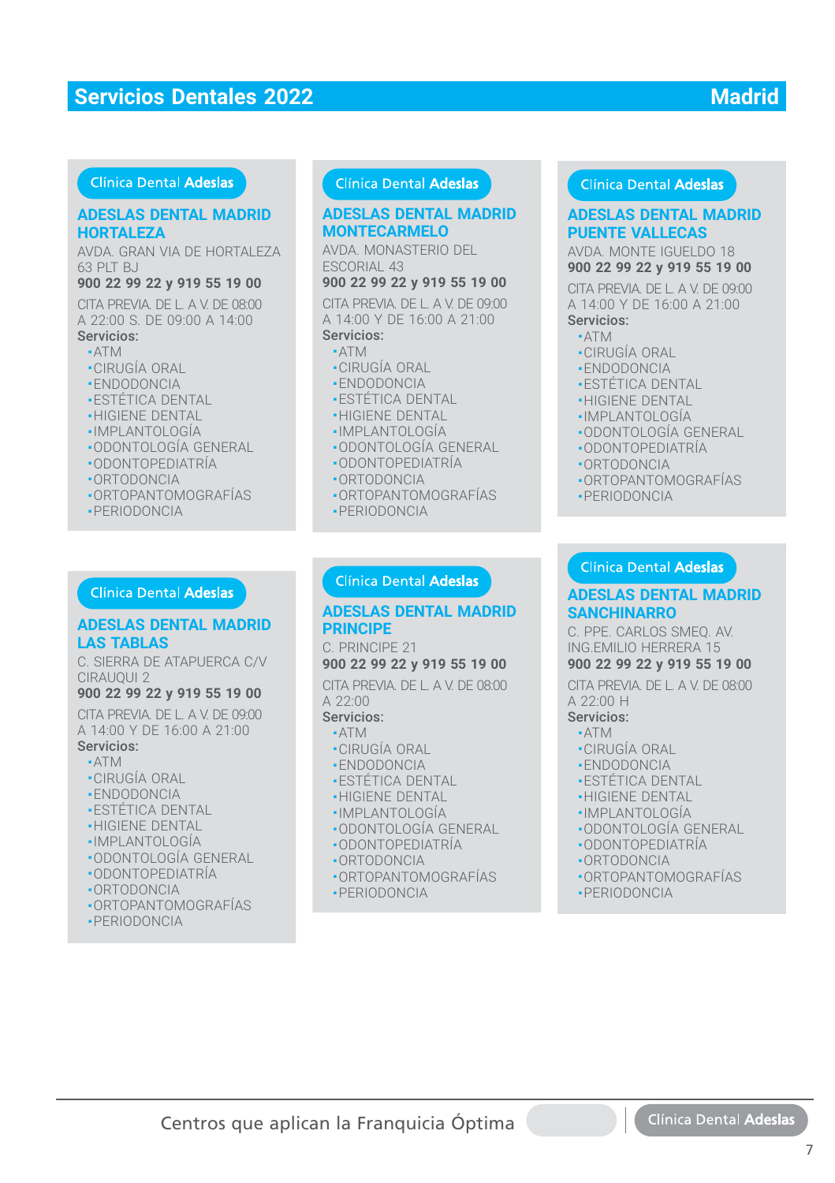#### Clínica Dental Adeslas

#### **ADESLAS DENTAL MADRID ADESLAS DENTAL MADRID HORTALEZA HORTALEZA**

AVDA. GRAN VIA DE HORTALEZA 63 PLT BJ

#### **900 22 99 22 y 919 55 19 00**

CITA PREVIA. DE L. A V. DE 08:00 A 22:00 S. DE 09:00 A 14:00

#### Servicios:

- ATM
- CIRUGÍA ORAL
- ENDODONCIA
- ESTÉTICA DENTAL
- **-HIGIENE DENTAL**
- IMPLANTOLOGÍA
- ODONTOLOGÍA GENERAL
- ODONTOPEDIATRÍA
- ORTODONCIA
- ORTOPANTOMOGRAFÍAS
- PERIODONCIA

#### **Clínica Dental Adeslas**

#### **ADESLAS DENTAL MADRID LAS TABLAS**

C. SIERRA DE ATAPUERCA C/V CIRAUQUI 2

#### **900 22 99 22 y 919 55 19 00**

CITA PREVIA. DE L. A V. DE 09:00 CITA PREVIA. DE L. A V. DE 09:00 A 14:00 Y DE 16:00 A 21:00 A 14:00 Y DE 16:00 A 21:00Servicios: Servicios:

- ATM ATM
- CIRUGÍA ORAL CIRUGÍA ORAL
- ENDODONCIA ENDODONCIA
- ESTÉTICA DENTAL ESTÉTICA DENTAL
- HIGIENE DENTAL HIGIENE DENTAL
- IMPLANTOLOGÍA IMPLANTOLOGÍA
- ODONTOLOGÍA GENERAL ODONTOLOGÍA GENERAL
- ODONTOPEDIATRÍA ODONTOPEDIATRÍA
- ORTODONCIA ORTODONCIA
- ORTOPANTOMOGRAFÍAS ORTOPANTOMOGRAFÍAS
- PERIODONCIA PERIODONCIA

#### Clínica Dental Adeslas

#### **ADESLAS DENTAL MADRID MONTECARMELO**

AVDA. MONASTERIO DEL ESCORIAL 43

**900 22 99 22 y 919 55 19 00**

CITA PREVIA. DE L. A V. DE 09:00 A 14:00 Y DE 16:00 A 21:00 Servicios:

## ■ ATM

- CIRUGÍA ORAL
- ENDODONCIA
- ESTÉTICA DENTAL
- HIGIENE DENTAL
- IMPLANTOLOGÍA
- 
- ODONTOLOGÍA GENERAL ■ ODONTOPEDIATRÍA
- ORTODONCIA
- 
- ORTOPANTOMOGRAFÍAS
- PERIODONCIA

#### Clínica Dental Adeslas

#### **ADESLAS DENTAL MADRID ADESLAS DENTAL MADRIDPRINCIPE**

C. PRINCIPE 21 C. PRINCIPE 21**900 22 99 22 y 919 55 19 00 900 22 99 22 y 919 55 19 00**

CITA PREVIA. DE L. A V. DE 08:00<br>A 22:00 A 22:00

## Servicios: Servicios:

- ATM ATM■ CIRUGÍA ORAL ■ CIRUGÍA ORAL
- 
- ENDODONCIA ENDODONCIA
- ESTÉTICA DENTAL ESTÉTICA DENTAL
- HIGIENE DENTAL HIGIENE DENTAL
- IMPLANTOLOGÍA IMPLANTOLOGÍA
- ODONTOLOGÍA GENERAL ODONTOLOGÍA GENERAL■ ODONTOPEDIATRÍA ODONTOPEDIATRÍA
- 
- ORTODONCIA ORTODONCIA
- ORTOPANTOMOGRAFÍAS ORTOPANTOMOGRAFÍAS ■ PERIODONCIA

#### Clínica Dental Adeslas

#### **ADESLAS DENTAL MADRID ADESLAS DENTAL MADRID PUENTE VALLECAS PUENTE VALLECAS**

AVDA. MONTE IGUELDO 18 **900 22 99 22 y 919 55 19 00**

CITA PREVIA. DE L. A V. DE 09:00 A 14:00 Y DE 16:00 A 21:00 Servicios:

#### ■ ATM

- CIRUGÍA ORAL
- ENDODONCIA
- ESTÉTICA DENTAL
- **-HIGIENE DENTAL**
- ·IMPLANTOLOGÍA
- ODONTOLOGÍA GENERAL ■
- ODONTOPEDIATRÍA ■ODONTOPEDIATRÍA
- ORTODONCIA ■ORTODONCIA
- ORTOPANTOMOGRAFÍAS ■ORTOPANTOMOGRAFÍAS
- PERIODONCIA ■PERIODONCIA

#### Clínica Dental Adeslas

## **ADESLAS DENTAL MADRID SANCHINARRO**

C. PPE. CARLOS SMEQ. AV. ING.EMILIO HERRERA 15

## **900 22 99 22 y 919 55 19 00**

CITA PREVIA. DE L. A V. DE 08:00 A 22:00 H

#### Servicios:

- ATM
- CIRUGÍA ORAL
- ENDODONCIA
- ESTÉTICA DENTAL
- HIGIENE DENTAL
- IMPLANTOLOGÍA
- ODONTOLOGÍA GENERAL
- ODONTOPEDIATRÍA
- ORTODONCIA
- ORTOPANTOMOGRAFÍAS

7

Clínica Dental Adeslas

■ PERIODONCIA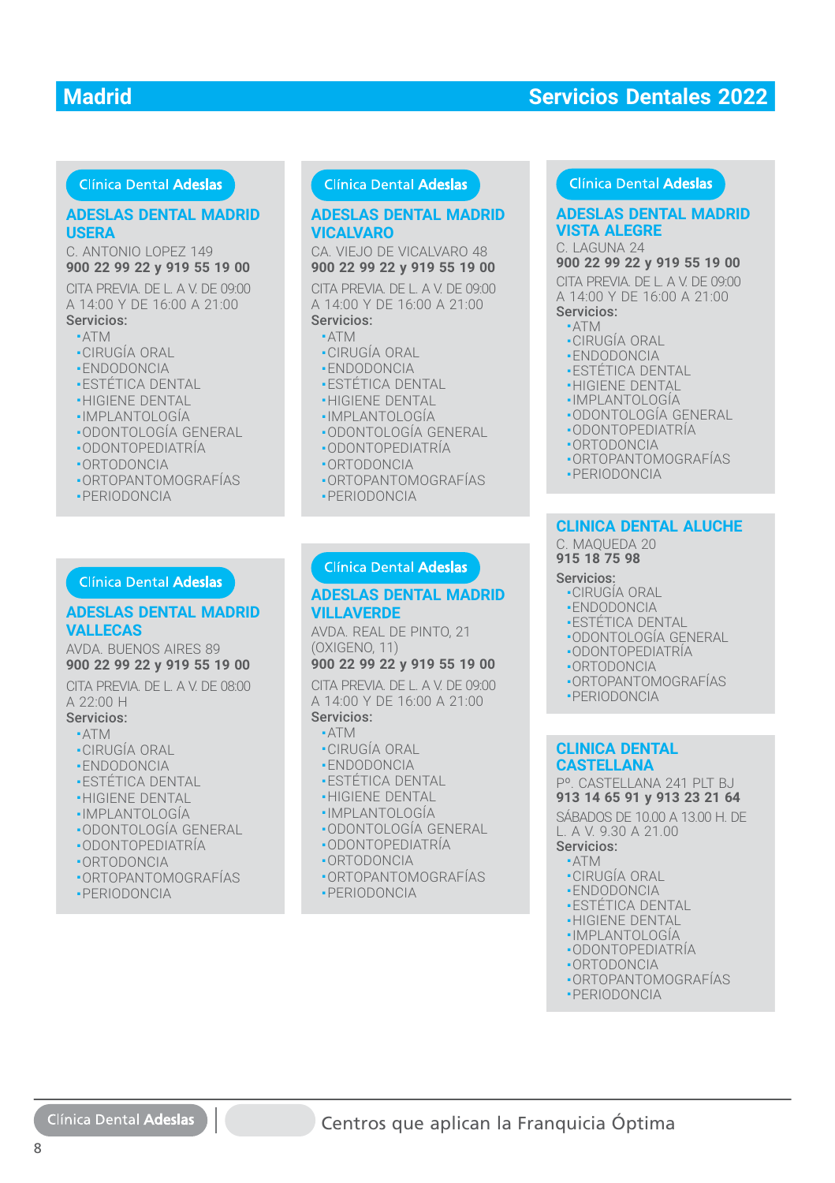#### Clínica Dental Adeslas

#### **ADESLAS DENTAL MADRID ADESLAS DENTAL MADRID USERA USERA**

C. ANTONIO LOPEZ 149 **900 22 99 22 y 919 55 19 00**

CITA PREVIA. DE L. A V. DE 09:00 A 14:00 Y DE 16:00 A 21:00 Servicios:

- ATM
- CIRUGÍA ORAL
- ENDODONCIA
- ESTÉTICA DENTAL
- **-HIGIENE DENTAL**
- IMPLANTOLOGÍA ■
- · ODONTOLOGÍA GENERAL
- ODONTOPEDIATRÍA ■ODONTOPEDIATRÍA
- ORTODONCIA ■ORTODONCIA
- ORTOPANTOMOGRAFÍAS ■ORTOPANTOMOGRAFÍAS
- PERIODONCIA ■PERIODONCIA

#### **ADESLAS DENTAL MADRID VALLECAS VALLECAS**

AVDA. BUENOS AIRES 89 **900 22 99 22 y 919 55 19 00**

CITA PREVIA. DE L. A V. DE 08:00 A 22:00 H

- Servicios:
	- ATM

8

- CIRUGÍA ORAL
- ENDODONCIA
- ESTÉTICA DENTAL
- **-HIGIENE DENTAL**
- IMPLANTOLOGÍA
- •ODONTOLOGÍA GENERAL
- ODONTOPEDIATRÍA ■
- ORTODONCIA ■
- ORTOPANTOMOGRAFÍAS ■
- PERIODONCIA

Clínica Dental Adeslas

#### **Clínica Dental Adeslas**

#### **VICALVARO VICALVARO ADESLAS DENTAL MADRID**

CA. VIEJO DE VICALVARO 48 **900 22 99 22 y 919 55 19 00**

**DESLAS DENTAL MADRID**<br> **DESLAS DENTAL MADRID**<br> **SERA ANTONIO LOPEZ 149**<br> **CA VIEJO DE VICALVARO 48**<br> **CA VIEJO DE VICALVARO 48**<br>
TA PREVIA DE LA V. DE 09:00<br>
TA PREVIA DE LA V. DE 09:00<br>
TA PREVIA DE LA V. DE 09:00<br>
A 14: CITA PREVIA. DE L. A V. DE 09:00 A 14:00 Y DE 16:00 A 21:00 Servicios:

#### ■ ATM

- CIRUGÍA ORAL
- ENDODONCIA
- ESTÉTICA DENTAL
- **-HIGIENE DENTAL**
- IMPLANTOLOGÍA ■
- · ODONTOLOGÍA GENERAL
- ODONTOPEDIATRÍA ■ODONTOPEDIATRÍA
- ORTODONCIA ■ORTODONCIA
- ORTOPANTOMOGRAFÍAS ■ORTOPANTOMOGRAFÍAS
- PERIODONCIA ■PERIODONCIA

#### **ADESLAS DENTAL MADRID VILLAVERDE**

AVDA. REAL DE PINTO, 21 (OXIGENO, 11)

#### **900 22 99 22 y 919 55 19 00**

CITA PREVIA. DE L. A V. DE 09:00 A 14:00 Y DE 16:00 A 21:00 Servicios:

#### ■ ATM

- CIRUGÍA ORAL
- ENDODONCIA
- ESTÉTICA DENTAL
- HIGIENE DENTAL
- IMPLANTOLOGÍA
- ODONTOLOGÍA GENERAL
- ODONTOPEDIATRÍA
- ORTODONCIA
- ORTOPANTOMOGRAFÍAS
- PERIODONCIA

#### Clínica Dental Adeslas

#### **ADESLAS DENTAL MADRID VISTA ALEGRE**

C. LAGUNA 24

**900 22 99 22 y 919 55 19 00**

CITA PREVIA. DE L. A V. DE 09:00 A 14:00 Y DE 16:00 A 21:00

Servicios:

#### ■ ATM

- CIRUGÍA ORAL
- ENDODONCIA
- ESTÉTICA DENTAL
- HIGIENE DENTAL
- IMPLANTOLOGÍA
- ODONTOLOGÍA GENERAL
- ODONTOPEDIATRÍA
- ORTODONCIA
- ORTOPANTOMOGRAFÍAS
- PERIODONCIA

#### **CLINICA DENTAL ALUCHE CLINICA DENTAL ALUCHE**

C. MAQUEDA 20 C. MAQUEDA 20 **915 18 75 98 915 18 75 98**

#### Servicios: Servicios:

- CIRUGÍA ORAL CIRUGÍA ORAL
- ENDODONCIA ENDODONCIA
- ESTÉTICA DENTAL ESTÉTICA DENTAL
- ODONTOLOGÍA GENERAL ODONTOLOGÍA GENERAL
- ODONTOPEDIATRÍA ODONTOPEDIATRÍA
- ORTODONCIA ORTODONCIA
- ORTOPANTOMOGRAFÍAS ORTOPANTOMOGRAFÍAS
- PERIODONCIA PERIODONCIA

#### **CLINICA DENTAL CLINICA DENTAL CASTELLANA CASTELLANA**

Pº. CASTELLANA 241 PLT BJ Pº. CASTELLANA 241 PLT BJ **913 14 65 91 y 913 23 21 64 913 14 65 91 y 913 23 21 64**

SÁBADOS DE 10.00 A 13.00 H. DE SÁBADOS DE 10.00 A 13.00 H. DE L. A V. 9.30 A 21.00 L. A V. 9.30 A 21.00

Servicios: Servicios:

■ ATM ■ ATM

Centros que aplican la Franquicia Óptima

- CIRUGÍA ORAL CIRUGÍA ORAL
- ENDODONCIA ENDODONCIA
- ESTÉTICA DENTAL ESTÉTICA DENTAL ■ HIGIENE DENTAL ■ HIGIENE DENTAL ■ IMPLANTOLOGÍA ■ IMPLANTOLOGÍA

■ ODONTOPEDIATRÍA ■ ODONTOPEDIATRÍA ■ ORTODONCIA ■ ORTODONCIA ■ ORTOPANTOMOGRAFÍAS ■ ORTOPANTOMOGRAFÍAS ■ PERIODONCIA ■ PERIODONCIA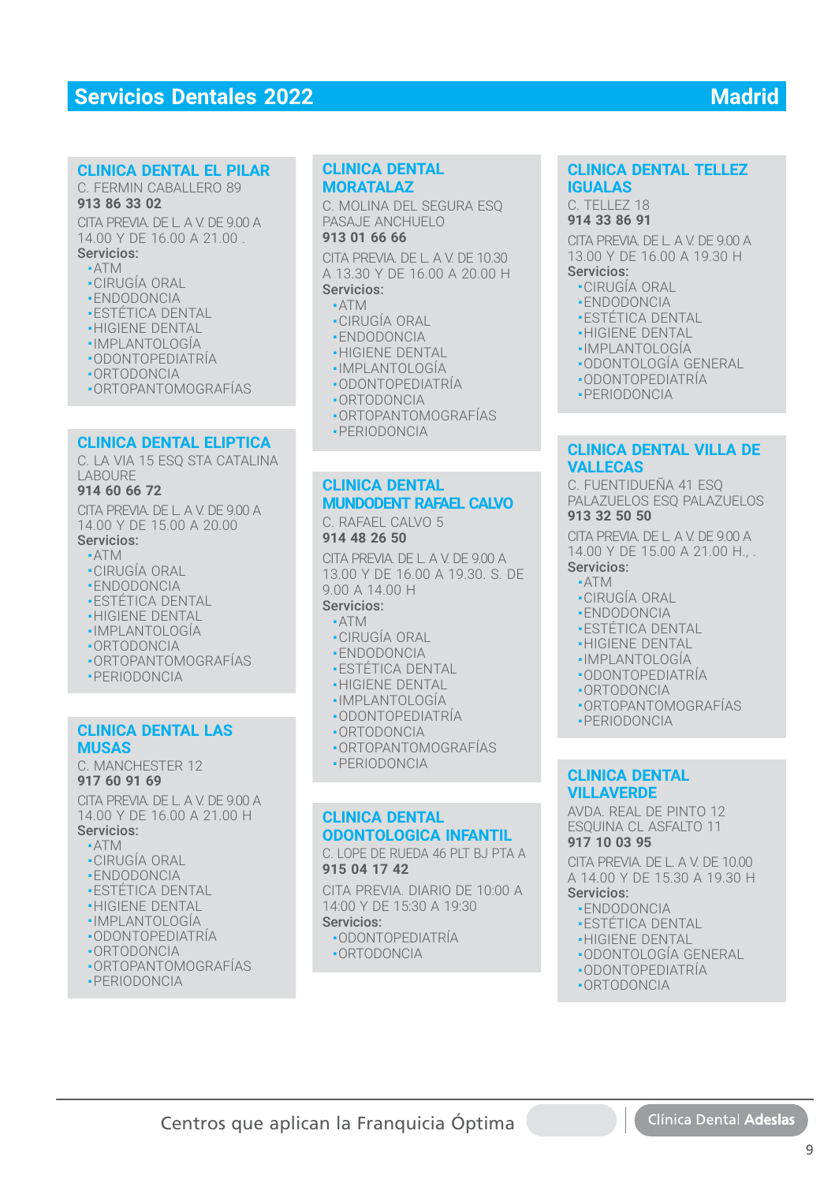#### **CLINICA DENTAL EL PILAR CLINICA DENTAL EL PILAR**

#### C. FERMIN CABALLERO 89 **913 86 33 02 913 86 33 02**

CITA PREVIA. DE L. A V. DE 9.00 A CITA PREVIA. DE L. A V. DE 9.00 A14.00 Y DE 16.00 A 21.00 .

#### Servicios: Servicios:■ ATM ■ATM

- CIRUGÍA ORAL CIRUGÍA ORAL
- ENDODONCIA ENDODONCIA
- •ESTETICA DENTAL
- HIGIENE DENTAL HIGIENE DENTAL
- IMPLANTOLOGÍA ■IMPLANTOLOGÍA
- ODONTOPEDIATRÍA ODONTOPEDIATRÍA
- ORTODONCIA ■ORTODONCIA
- 
- ORTOPANTOMOGRAFÍAS

#### **CLINICA DENTAL ELIPTICA CLINICA DENTAL ELIPTICA**

C. LA VIA 15 ESQ STA CATALINA LABOURE LABOURE

#### **914 60 66 72**

CITA PREVIA. DE L. A V. DE 9.00 A 14.00 Y DE 15.00 A 20.00 14.00 Y DE 15.00 A 20.00Servicios:

## ■ ATM ATM

- CIRUGÍA ORAL ■CIRUGÍA ORAL
- ENDODONCIA
- ESTÉTICA DENTAL ESTÉTICA DENTAL
- •HIGIENE DENTẠL
- IMPLANTOLOGÍA IMPLANTOLOGÍA
- ORTODONCIA ■ORTODONCIA
- ORTOPANTOMOGRAFÍAS
- PERIODONCIA PERIODONCIA

#### **CLINICA DENTAL LAS MUSAS**

C. MANCHESTER 12 C. MANCHESTER 12**917 60 91 69**

CITA PREVIA. DE L. A V. DE 9.00 A 14.00 Y DE 16.00 A 21.00 H 14.00 Y DE 16.00 A 21.00 HServicios:

## ■ ATM ■ ATM

- CIRUGÍA ORAL
- ENDODONCIA
- 
- •ESTETICA DENTAL
- •HIGIENE DENTẠL
- IMPLANTOLOGÍA ■IMPLANTOLOGÍA
- ODONTOPEDIATRÍA
- ORTODONCIA ORTODONCIA
- •ORTOPANTOMOGRAFIAS
- PERIODONCIA

## **CLINICA DENTAL CLINICA DENTAL MORATALAZ MORATALAZ**

C. MOLINA DEL SEGURA ESQ C. MOLINA DEL SEGURA ESQ PASAJE ANCHUELO PASAJE ANCHUELO

#### **913 01 66 66 913 01 66 66**

CITA PREVIA. DE L. A V. DE 10.30 CITA PREVIA. DE L. A V. DE 10.30 A 13.30 Y DE 16.00 A 20.00 H A 13.30 Y DE 16.00 A 20.00 H

## Servicios: Servicios:

- $\cdot$  ATM ■ CIRUGÍA ORAL ■ CIRUGÍA ORAL
- ENDODONCIA ENDODONCIA
- 
- •HIGIENE DENTĄL
- IMPLANTOLOGÍA IMPLANTOLOGÍA
- ODONTOPEDIATRÍA ODONTOPEDIATRÍA
- ORTODONCIA ORTODONCIA
- ORTOPANTOMOGRAFÍAS ORTOPANTOMOGRAFÍAS
- PERIODONCIA PERIODONCIA

#### **CLINICA DENTAL CLINICA DENTAL MUNDODENT RAFAEL CALVO MUNDODENT RAFAEL CALVO**

C. RAFAEL CALVO 5 C. RAFAEL CALVO 5 **914 48 26 50 914 48 26 50**

CITA PREVIA. DE L. A V. DE 9.00 A CITA PREVIA. DE L. A V. DE 9.00 A 13.00 Y DE 16.00 A 19.30. S. DE 13.00 Y DE 16.00 A 19.30. S. DE 9.00 A 14.00 H 9.00 A 14.00 H

#### Servicios: Servicios:

- ATM ATM
- CIRUGÍA ORAL CIRUGÍA ORAL
- ENDODONCIA ENDODONCIA
- ESTÉTICA DENTAL ESTÉTICA DENTAL
- HIGIENE DENTAL HIGIENE DENTAL
- IMPLANTOLOGÍA IMPLANTOLOGÍA
- ODONTOPEDIATRÍA ODONTOPEDIATRÍA
- ORTODONCIA ORTODONCIA
- ORTOPANTOMOGRAFÍAS ORTOPANTOMOGRAFÍAS
- PERIODONCIA PERIODONCIA

#### **CLINICA DENTAL CLINICA DENTAL ODONTOLOGICA INFANTIL ODONTOLOGICA INFANTIL**

C. LOPE DE RUEDA 46 PLT BJ PTA A C. LOPE DE RUEDA 46 PLT BJ PTA A **915 04 17 42 915 04 17 42**

CITA PREVIA. DIARIO DE 10:00 A CITA PREVIA. DIARIO DE 10:00 A 14:00 Y DE 15:30 A 19:30 14:00 Y DE 15:30 A 19:30

#### Servicios: Servicios:

Centros que aplican la Franquicia Óptima

■ ODONTOPEDIATRÍA ■ ODONTOPEDIATRÍA ■ ORTODONCIA ■ ORTODONCIA

**CLINICA DENTAL TELLEZ CLINICA DENTAL TELLEZ IGUALAS IGUALAS**

C. TELLEZ 18 C. TELLEZ 18 **914 33 86 91 914 33 86 91**

CITA PREVIA. DE L. A V. DE 9.00 A CITA PREVIA. DE L. A V. DE 9.00 A 13.00 Y DE 16.00 A 19.30 H 13.00 Y DE 16.00 A 19.30 H Servicios: Servicios:

- CIRUGÍA ORAL CIRUGÍA ORAL
- ENDODONCIA ENDODONCIA
- ESTÉTICA DENTAL ESTÉTICA DENTAL
- •HIGIENE DENTAL
- IMPLANTOLOGÍA IMPLANTOLOGÍA
- ODONTOLOGÍA GENERAL ODONTOLOGÍA GENERAL
- ODONTOPEDIATRÍA ODONTOPEDIATRÍA
- PERIODONCIA PERIODONCIA

#### **CLINICA DENTAL VILLA DE VALLECAS VALLECAS**

C. FUENTIDUEÑA 41 ESQ PALAZUELOS ESO PALAZUELOS **913 32 50 50**

CITA PREVIA. DE L. A V. DE 9.00 A 14.00 Y DE 15.00 A 21.00 H., . 14.00 Y DE 15.00 A 21.00 H., .Servicios: Servicios:

- ATM
- CIRUGÍA ORAL
- ENDODONCIA ENDODONCIA
- ESTÉTICA DENTAL ■ESTÉTICA DENTAL
- HIGIENE DENTAL
- IMPLANTOLOGÍA
- ODONTOPEDIATRÍA ODONTOPEDIATRÍA
- ORTODONCIA ■ORTODONCIA
- ORTOPANTOMOGRAFÍAS
- PERIODONCIA

#### **CLINICA DENTAL VILLAVERDE VILLAVERDE**

Servicios: Servicios:•ENDODONCIA ■ ESTÉTICA DENTAL ■ HIGIENE DENTAL HIGIENE DENTAL■ ODONTOLOGÍA GENERAL ■ODONTOLOGÍA GENERAL•ODONTOPEDIATRIA ■ ORTODONCIA

AVDA. REAL DE PINTO 12 AVDA. REAL DE PINTO 12ESQUINA CL ASFALTO 11 **917 10 03 95**

CITA PREVIA. DE L. A V. DE 10.00 A 14.00 Y DE 15.30 A 19.30 H A 14.00 Y DE 15.30 A 19.30 H

9

Clínica Dental Adesla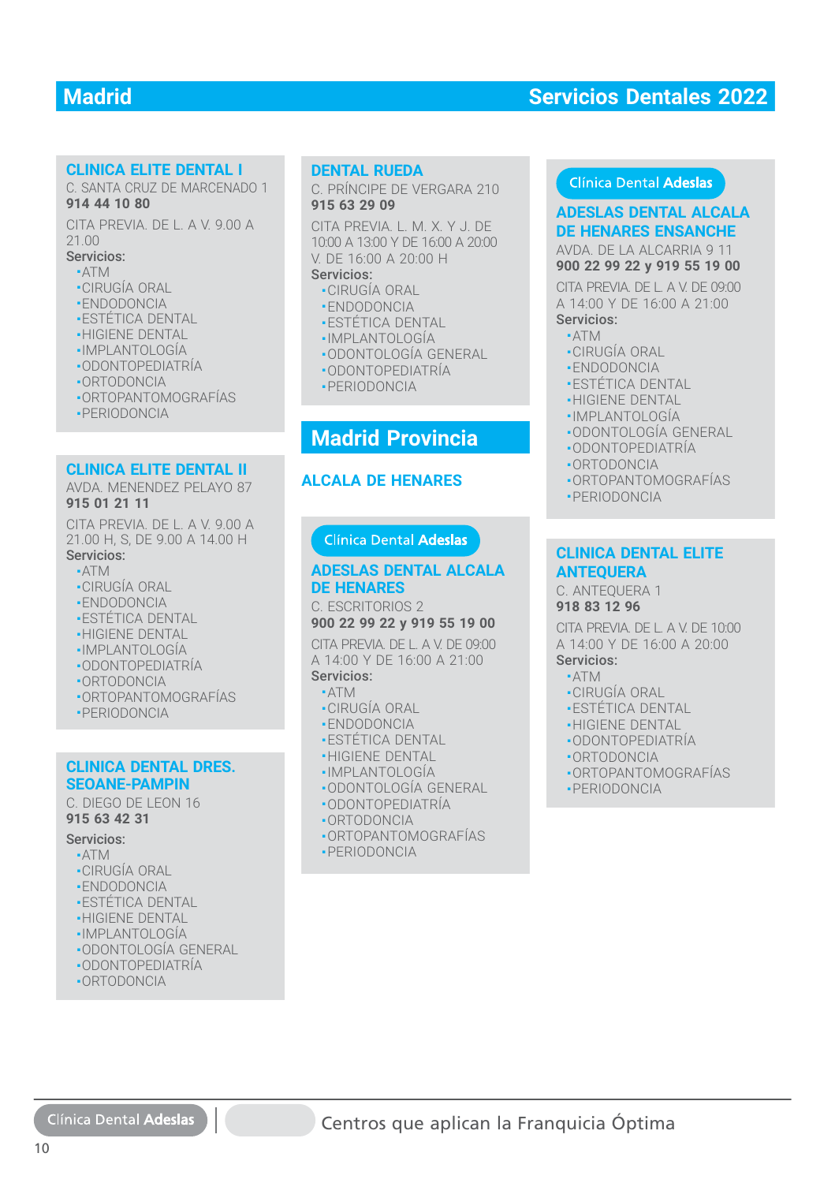#### **CLINICA ELITE DENTAL I CLINICA ELITE DENTAL I**

C. SANTA CRUZ DE MARCENADO 1 C. SANTA CRUZ DE MARCENADO 1 **914 44 10 80 914 44 10 80**

CITA PREVIA. DE L. A V. 9.00 A CITA PREVIA. DE L. A V. 9.00 A 21.00 21.00

#### Servicios: Servicios:

- ATM ATM
- CIRUGÍA ORAL CIRUGÍA ORAL
- ENDODONCIA ENDODONCIA
- ESTÉTICA DENTAL ESTÉTICA DENTAL
- HIGIENE DENTAL HIGIENE DENTAL
- IMPLANTOLOGÍA IMPLANTOLOGÍA
- ODONTOPEDIATRÍA ODONTOPEDIATRÍA
- ORTODONCIA ORTODONCIA
- ORTOPANTOMOGRAFÍAS ORTOPANTOMOGRAFÍAS
- PERIODONCIA PERIODONCIA

#### **CLINICA ELITE DENTAL II**

#### AVDA. MENENDEZ PELAYO 87 **915 01 21 11**

CITA PREVIA. DE L. A V. 9.00 A 21.00 H, S, DE 9.00 A 14.00 H Servicios: Servicios:

- ATM ■ATM
- CIRUGÍA ORAL ■CIRUGÍA ORAL
- ENDODONCIA
- ESTÉTICA DENTAL
- HIGIENE DENTAL
- IMPLANTOLOGÍA
- ODONTOPEDIATRÍA
- ORTODONCIA
- ORTOPANTOMOGRAFÍAS
- PERIODONCIA ֦

#### **CLINICA DENTAL DRES. CLINICA DENTAL DRES. SEOANE-PAMPIN SEOANE-PAMPIN**

C. DIEGO DE LEON 16 C. DIEGO DE LEON 16 **915 63 42 31 915 63 42 31**

#### Servicios: Servicios:

- ATM ATM
- CIRUGÍA ORAL CIRUGÍA ORAL
- ENDODONCIA ENDODONCIA
- ESTÉTICA DENTAL ESTÉTICA DENTAL
- HIGIENE DENTAL HIGIENE DENTAL
- IMPLANTOLOGÍA IMPLANTOLOGÍA
- ODONTOLOGÍA GENERAL ODONTOLOGÍA GENERAL
- ODONTOPEDIATRÍA ODONTOPEDIATRÍA
- ORTODONCIA ORTODONCIA

## **DENTAL RUEDA DENTAL RUEDA**

C. PRÍNCIPE DE VERGARA 210 C. PRÍNCIPE DE VERGARA 210 **915 63 29 09 915 63 29 09**

CITA PREVIA. L. M. X. Y J. DE CITA PREVIA. L. M. X. Y J. DE 10:00 A 13:00 Y DE 16:00 A 20:00 10:00 A 13:00 Y DE 16:00 A 20:00 V. DE 16:00 A 20:00 H V. DE 16:00 A 20:00 H

#### Servicios: Servicios:

- CIRUGÍA ORAL CIRUGÍA ORAL
- ENDODONCIA ENDODONCIA
- ESTÉTICA DENTAL ESTÉTICA DENTAL
- IMPLANTOLOGÍA IMPLANTOLOGÍA
- ODONTOLOGÍA GENERAL ODONTOLOGÍA GENERAL
- ODONTOPEDIATRÍA ODONTOPEDIATRÍA
- PERIODONCIA PERIODONCIA

## **Madrid Provincia**

#### **ALCALA DE HENARES**

#### **ADESLAS DENTAL ALCALA ADESLAS DENTAL ALCALADE HENARESDE HENARES**

C. ESCRITORIOS 2 C. ESCRITORIOS 2**900 22 99 22 y 919 55 19 00 900 22 99 22 y 919 55 19 00**

CITA PREVIA. DE L. A V. DE 09:00 A 14:00 Y DE 16:00 A 21:00 Servicios:

#### ■ ATM ■ATM

- CIRUGÍA ORAL ■CIRUGÍA ORAL
- ENDODONCIA ■ENDODONCIA
- ESTÉTICA DENTAL ■ESTÉTICA DENTAL
- HIGIENE DENTAL ■HIGIENE DENTAL
- IMPLANTOLOGÍA IMPLANTOLOGÍA
- ODONTOLOGÍA GENERAL ODONTOLOGÍA GENERAL
- ODONTOPEDIATRÍA ODONTOPEDIATRÍA
- ORTODONCIA
- ORTOPANTOMOGRAFÍAS
- PERIODONCIA

#### Clínica Dental Adeslas

**DE HENARES ENSANCHE**

AVDA. DE LA ALCARRIA 9 11 **900 22 99 22 y 919 55 19 00**

**ADESTING AN ESSECUTE COLOR AN ESSECUTE COLOR AND A THOMAGE AN EXAMPLE DE SECONDONCIA<br>
TA PREVIA L.M.X.Y.J. DE<br>
DE HENARES ENSANCHE<br>
DE 16:00 A 20:00 H<br>
CITA PREVIA DE LA ALCARRIA 9 11<br>
CITA PREVIA DE LA ALCARRIA 9 10<br>
COL** CITA PREVIA. DE L. A V. DE 09:00 A 14:00 Y DE 16:00 A 21:00 Servicios:

#### ■ ATM

- •CIRUGIA ORAL
- ENDODONCIA ■ENDODONCIA
- ESTÉTICA DENTAL ■ESTÉTICA DENTAL
- HIGIENE DENTAL ■HIGIENE DENTAL
- IMPLANTOLOGÍA IMPLANTOLOGÍA
- ODONTOLOGÍA GENERAL ODONTOLOGÍA GENERAL
- ODONTOPEDIATRÍA
- ORTODONCIA
- ORTOPANTOMOGRAFÍAS
- PERIODONCIA

#### **CLINICA DENTAL ELITE CLINICA DENTAL ELITE ANTEQUERA ANTEQUERA**

## C. ANTEQUERA 1 C. ANTEQUERA 1

**918 83 12 96 918 83 12 96**

CITA PREVIA. DE L. A V. DE 10:00 CITA PREVIA. DE L. A V. DE 10:00<br>A 14:00 Y DE 16:00 A 20:00

- ATM ATM
- CIRUGÍA ORAL CIRUGÍA ORAL
- ESTÉTICA DENTAL ESTÉTICA DENTAL
- HIGIENE DENTAL
- ODONTOPEDIATRÍA
- ORTODONCIA ■
- •ORTOPANTOMOGRAFIAS
- PERIODONCIA ■PERIODONCIA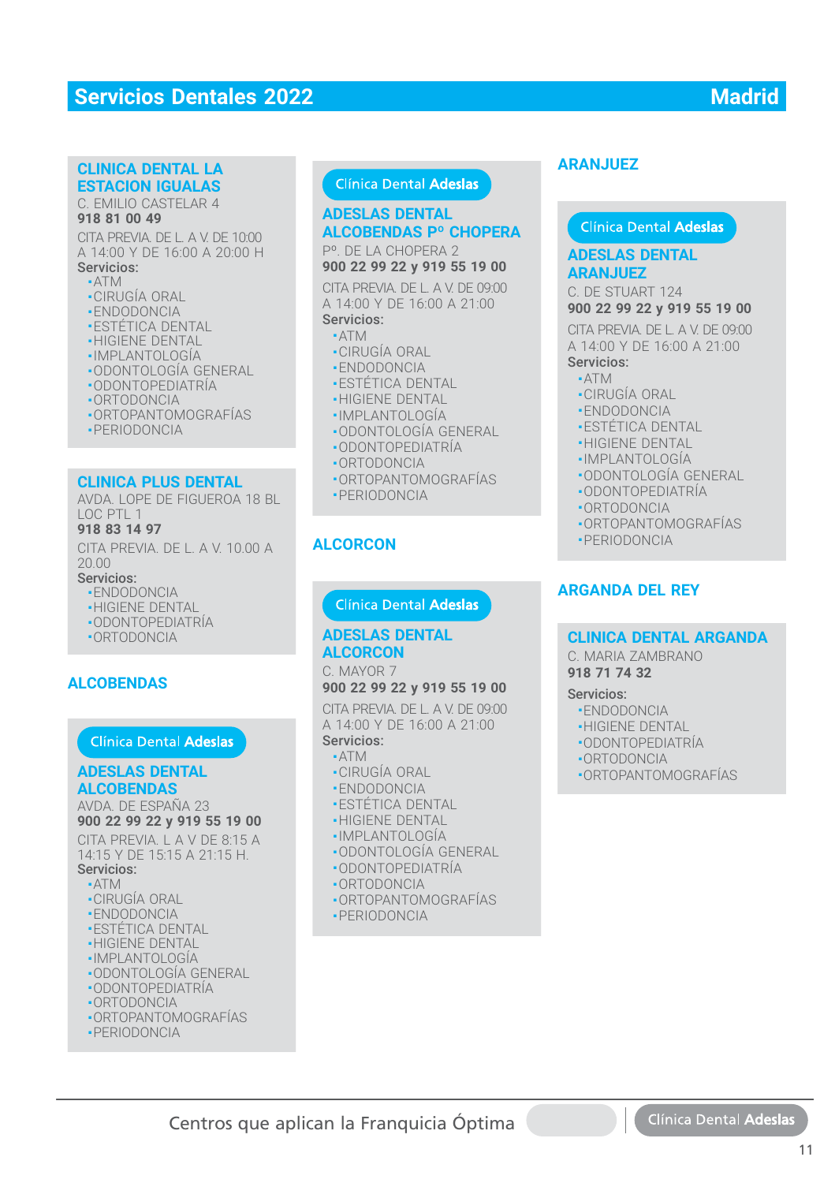## **Servicios Dentales 2022** Madrid

#### **CLINICA DENTAL LA CLINICA DENTAL LA ESTACION IGUALAS ESTACION IGUALAS**

C. EMILIO CASTELAR 4 C. EMILIO CASTELAR 4 **918 81 00 49 918 81 00 49**

CITA PREVIA. DE L. A V. DE 10:00 CITA PREVIA. DE L. A V. DE 10:00 A 14:00 Y DE 16:00 A 20:00 H A 14:00 Y DE 16:00 A 20:00 H Servicios: Servicios:

## ■ ATM ■ ATM

- CIRUGÍA ORAL CIRUGÍA ORAL
- ENDODONCIA ENDODONCIA
- ESTÉTICA DENTAL ESTÉTICA DENTAL
- HIGIENE DENTAL HIGIENE DENTAL
- IMPLANTOLOGÍA IMPLANTOLOGÍA
- ODONTOLOGÍA GENERAL ODONTOLOGÍA GENERAL
- ODONTOPEDIATRÍA ODONTOPEDIATRÍA
- ORTODONCIA ORTODONCIA
- ORTOPANTOMOGRAFÍAS ORTOPANTOMOGRAFÍAS
- PERIODONCIA PERIODONCIA

#### **CLINICA PLUS DENTAL CLINICA PLUS DENTAL**

AVDA. LOPE DE FIGUEROA 18 BL AVDA. LOPE DE FIGUEROA 18 BL LOC PTL 1 LOC PTL 1 **918 83 14 97 918 83 14 97**

CITA PREVIA. DE L. A V. 10.00 A CITA PREVIA. DE L. A V. 10.00 A 20.00 20.00

#### Servicios: Servicios:

- ENDODONCIA ENDODONCIA
- HIGIENE DENTAL HIGIENE DENTAL
- ODONTOPEDIATRÍA ODONTOPEDIATRÍA
- ORTODONCIA ORTODONCIA

#### **ALCOBENDAS**

#### **Clínica Dental Adeslas**

#### **ADESLAS DENTAL ALCOBENDAS**

AVDA. DE ESPAÑA 23 **900 22 99 22 y 919 55 19 00**

CITA PREVIA. LA V DE 8:15 A 14:15 Y DE 15:15 A 21:15 H. Servicios:

- ATM
- 
- CIRUGÍA ORAL
- ENDODONCIA **-ESTÉTICA DENTAL**
- **-HIGIENE DENTAL**
- IMPLANTOLOGÍA
- 
- ODONTOLOGÍA GENERAL ■ ODONTOPEDIATRÍA
- ORTODONCIA
- ORTOPANTOMOGRAFÍAS
- PERIODONCIA
- 

## **ADESLAS DENTAL ALCOBENDAS Pº CHOPERA**

Pº. DE LA CHOPERA 2 **900 22 99 22 y 919 55 19 00**

CITA PREVIA. DE L. A V. DE 09:00 A 14:00 Y DE 16:00 A 21:00 Servicios:

#### ■ ATM

- CIRUGÍA ORAL
- ENDODONCIA
- ESTÉTICA DENTAL
- HIGIENE DENTAL
- IMPLANTOLOGÍA
- ODONTOLOGÍA GENERAL
- ODONTOPEDIATRÍA
- ORTODONCIA
- ORTOPANTOMOGRAFÍAS
- PERIODONCIA

#### **ALCORCON**

#### **ADESLAS DENTAL ALCORCON**

C. MAYOR 7

## **900 22 99 22 y 919 55 19 00**

CITA PREVIA. DE L. A V. DE 09:00 CITA PREVIA. DE L. A V. DE 09:00<br>A 14:00 Y DE 16:00 A 21:00 Servicios: Servicios:**CONSISTANT AND ARANJUEZ**<br>
CODENDAS P<sup>o</sup> CHOPERA<br>
DESLAS DENTAL<br>
DE LA CHOPERA 2<br>
ADESLAS DEL A VIDE 09:00<br>
CORENA DE LA VIDE 09:00<br>
CODENDAS P<sup>o</sup> CHOPERA<br>
414:00 Y DE 16:00 A 21:00<br>
TA PREVIA<br>
-414:00 Y DE 16:00 A 21:00<br>

#### ■ ATM ■ATM

- CIRUGÍA ORAL ■CIRUGÍA ORAL
- ENDODONCIA ■ENDODONCIA
- ESTÉTICA DENTAL ■ESTÉTICA DENTAL
- HIGIENE DENTAL ■HIGIENE DENTAL
- IMPLANTOLOGÍA
- •IMPLANTOLOGÍA<br>•ODONTOLOGÍA GENERAL<br>•ODONTOPEDIATRÍA<br>•ORTODONCIA<br>•ORTOPANTOMOGRAFÍAS
- ODONTOPEDIATRÍA
- ORTODONCIA
- ORTOPANTOMOGRAFÍAS
- PERIODONCIA

#### **ADESLAS DENTAL ARANJUEZ**

#### C. DE STUART 124 **900 22 99 22 y 919 55 19 00**

CITA PREVIA. DE L. A V. DE 09:00 A 14:00 Y DE 16:00 A 21:00 Servicios:

## ■ ATM

- •ATM<br>•CIRUGÍA ORAL
- ENDODONCIA ■ENDODONCIA
- ESTÉTICA DENTAL
- 
- HIGIENE DENTAL<br>• HIGIENE DENTAL<br>• IMPI ANTOLOGÍA ■ IMPLANTOLOGÍA
- ODONTOLOGÍA GENERAL
- ODONTOPEDIATRÍA
- ORTODONCIA
- ORTOPANTOMOGRAFÍAS ■■ORTOPANTOMOGRAFÍAS
- PERIODONCIA PERIODONCIA

## **ARGANDA DEL REY**

## **CLINICA DENTAL ARGANDA CLINICA DENTAL ARGANDA**

C. MARIA ZAMBRANO C. MARIA ZAMBRANO

#### **918 71 74 32 918 71 74 32**

#### Servicios: Servicios:

- ENDODONCIA ENDODONCIA
- HIGIENE DENTAL HIGIENE DENTAL
- ODONTOPEDIATRÍA ODONTOPEDIATRÍA
- ORTODONCIA ■ORTODONCIA
- ORTOPANTOMOGRAFÍAS ORTOPANTOMOGRAFÍAS

11

Clínica Dental Adesla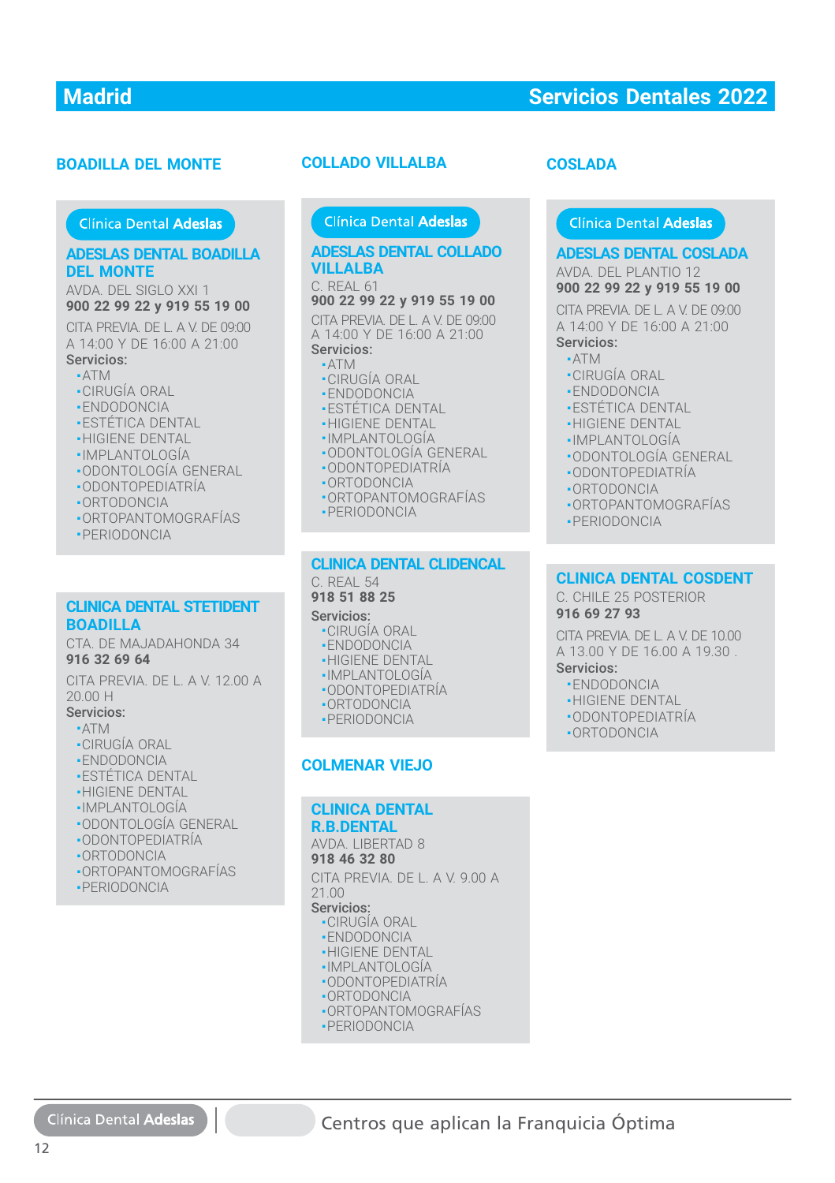#### **BOADILLA DEL MONTE**

#### **ADESLAS DENTAL BOADILLA DEL MONTE**

AVDA. DEL SIGLO XXI 1 **900 22 99 22 y 919 55 19 00**

CITA PREVIA. DE L. A V. DE 09:00 A 14:00 Y DE 16:00 A 21:00 Servicios:

## ■ ATM

- CIRUGÍA ORAL
- ENDODONCIA
- ESTÉTICA DENTAL
- HIGIENE DENTAL
- IMPLANTOLOGÍA
- ODONTOLOGÍA GENERAL
- ODONTOPEDIATRÍA
- ORTODONCIA
- ORTOPANTOMOGRAFÍAS
- PERIODONCIA
- 

#### **CLINICA DENTAL STETIDENT BOADILLA**

CTA. DE MAJADAHONDA 34 **916 32 69 64**

CITA PREVIA. DE L. A V. 12.00 A<br>20.00 H 20.00 H

#### Servicios: Servicios:

- $\blacksquare$ ATM
- CIRUGÍA ORAL CIRUGÍA ORAL
- ENDODONCIA ENDODONCIA
- ESTÉTICA DENTAL ESTÉTICA DENTAL
- HIGIENE DENTAL HIGIENE DENTAL
- IMPLANTOLOGÍA IMPLANTOLOGÍA
- ODONTOLOGÍA GENERAL ODONTOLOGÍA GENERAL
- ODONTOPEDIATRÍA ODONTOPEDIATRÍA
- ORTODONCIA ORTODONCIA
- ORTOPANTOMOGRAFÍAS ORTOPANTOMOGRAFÍAS
- PERIODONCIA

Clínica Dental Adeslas

#### **ADESLAS DENTAL COLLADO VILLALBA**

C. REAL 61

**900 22 99 22 y 919 55 19 00**

CITA PREVIA. DE L. A V. DE 09:00 A 14:00 Y DE 16:00 A 21:00 Servicios:

#### ■ ATM

- CIRUGÍA ORAL
- ENDODONCIA
- **-ESTÉTICA DENTAL**
- HIGIENE DENTAL
- IMPLANTOLOGÍA
- ODONTOLOGÍA GENERAL
- ODONTOPEDIATRÍA
- ORTODONCIA
- ORTOPANTOMOGRAFÍAS
- PERIODONCIA

#### **CLINICA DENTAL CLIDENCAL CLINICA DENTAL CLIDENCAL** C. REAL 54 C. REAL 54

#### **918 51 88 25 918 51 88 25**

#### Servicios: Servicios:

- CIRUGÍA ORAL CIRUGÍA ORAL
- ENDODONCIA ENDODONCIA
- HIGIENE DENTAL HIGIENE DENTAL
- IMPLANTOLOGÍA IMPLANTOLOGÍA
- ODONTOPEDIATRÍA ODONTOPEDIATRÍA
- ORTODONCIA ORTODONCIA
- PERIODONCIA PERIODONCIA

#### **COLMENAR VIEJO**

#### **CLINICA DENTAL CLINICA DENTAL R.B.DENTAL R.B.DENTAL**

**ADILLA DEL MONTE<br>
COLLADO VILLALBA<br>
Clinica Dental Adeslas<br>
DESLAS DENTAL BOADILLA<br>
MEL ANDESLAS DENTAL C<br>
MEL ANCE DE SIGLO XXI 1<br>
1 C. REAL 61<br>
TA PERIODA OR DE LA V. DE 0300 299 229 919 55 19 00<br>
CITA PERVIA DE LA V. D** AVDA. LIBERTAD 8 AVDA. LIBERTAD 8 **918 46 32 80 918 46 32 80** CITA PREVIA. DE L. A V. 9.00 A CITA PREVIA. DE L. A V. 9.00 A 21.00 21.00

#### Servicios: Servicios:

- CIRUGÍA ORAL CIRUGÍA ORAL
- ENDODONCIA ENDODONCIA
- HIGIENE DENTAL HIGIENE DENTAL
- IMPLANTOLOGÍA IMPLANTOLOGÍA
- ODONTOPEDIATRÍA ODONTOPEDIATRÍA
- ORTODONCIA ORTODONCIA
- ORTOPANTOMOGRAFÍAS ORTOPANTOMOGRAFÍAS
- PERIODONCIA PERIODONCIA

## **COSLADA**

#### Clínica Dental Adeslas

**ADESLAS DENTAL COSLADA ADESLAS DENTAL COSLADA**

AVDA. DEL PLANTIO 12 AVDA. DEL PLANTIO 12 **900 22 99 22 y 919 55 19 00 900 22 99 22 y 919 55 19 00**

CITA PREVIA. DE L. A V. DE 09:00 CITA PREVIA. DE L. A V. DE 09:00<br>A 14:00 Y DE 16:00 A 21:00 Servicios: Servicios:

- ATM
- CIRUGÍA ORAL ■CIRUGÍA ORAL
- ENDODONCIA ■ENDODONCIA
- ESTÉTICA DENTAL ESTÉTICA DENTAL
- HIGIENE DENTAL HIGIENE DENTAL
- IMPLANTOLOGÍA IMPLANTOLOGÍA
- ODONTOLOGÍA GENERAL
- ODONTOPEDIATRÍA ■ODONTOPEDIATRÍA
- ORTODONCIA ■ORTODONCIA
- ORTOPANTOMOGRAFÍAS ORTOPANTOMOGRAFÍAS
- PERIODONCIA PERIODONCIA

## **CLINICA DENTAL COSDENT CLINICA DENTAL COSDENT**

C. CHILE 25 POSTERIOR C. CHILE 25 POSTERIOR **916 69 27 93 916 69 27 93**

CITA PREVIA. DE L. A V. DE 10.00 CITA PREVIA. DE L. A V. DE 10.00 A 13.00 Y DE 16.00 A 19.30 . A 13.00 Y DE 16.00 A 19.30 .

- Servicios: Servicios:
- ENDODONCIA ENDODONCIA
- HIGIENE DENTAL HIGIENE DENTAL
- ODONTOPEDIATRÍA
- ORTODONCIA ■ORTODONCIA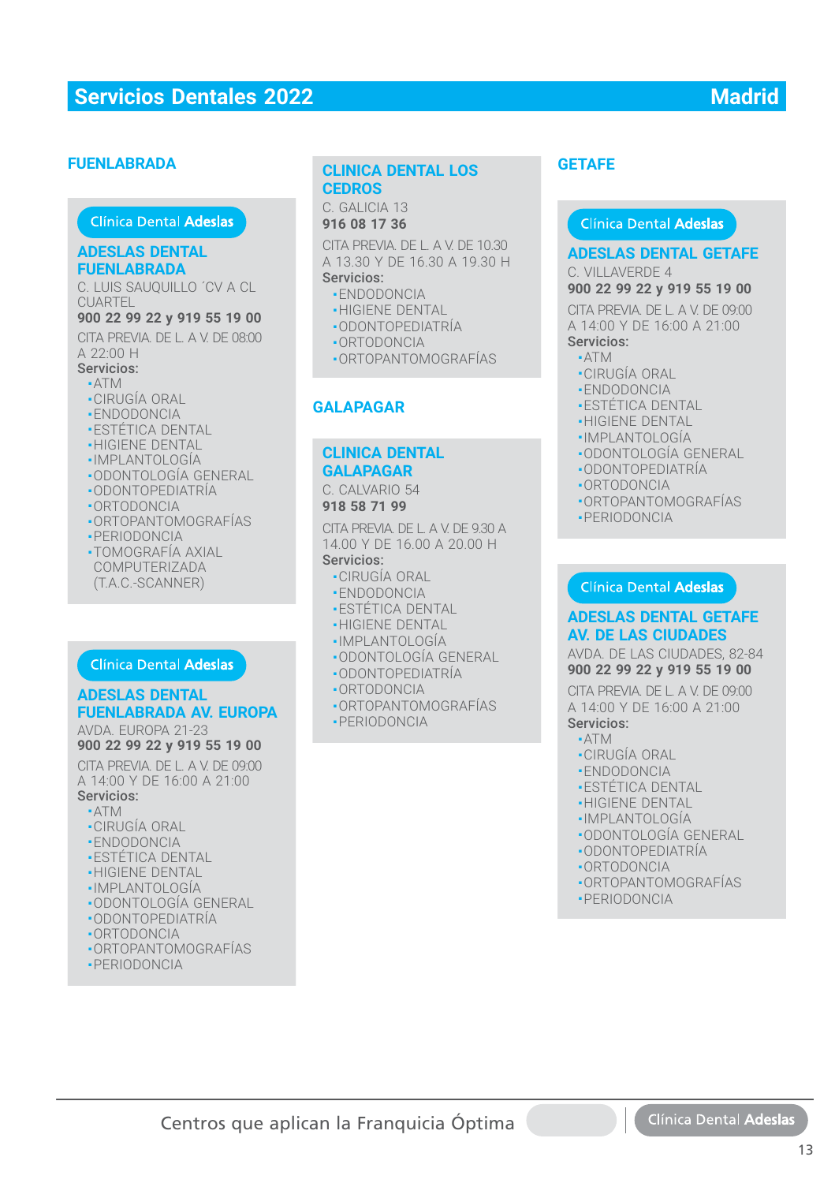#### **FUENLABRADA**

#### **ADESLAS DENTAL ADESLAS DENTAL FUENLABRADA**

C. LUIS SAUQUILLO ´CV A CL<br>CUARTEL **CUARTEL** 

#### **900 22 99 22 y 919 55 19 00**

CITA PREVIA. DE L. A V. DE 08:00  $A$  22:00 H

#### Servicios: Servicios:

- $\blacksquare$  ATM ■ CIRUGÍA ORAL
- ENDODONCIA ENDODONCIA
- 
- ESTÉTICA DENTAL ■ESTÉTICA DENTAL■ HIGIENE DENTAL
- 
- IMPLANTOLOGÍA ■ ODONTOLOGÍA GENERAL ■ ODONTOLOGÍA GENERAL
- •ODONTOPEDIATRIA
- ORTODONCIA
- ORTOPANTOMOGRAFÍAS ORTOPANTOMOGRAFÍAS
- PERIODONCIA ■PERIODONCIA
- TOMOGRAFÍA AXIAL
- COMPUTERIZADA (T.A.C.-SCANNER) COMPUTERIZADA(T.A.C.-SCANNER)

#### **ADESLAS DENTAL FUENLABRADA AV. EUROPA**

AVDA. EUROPA 21-23 AVDA. EUROPA 21-23**900 22 99 22 y 919 55 19 00** CITA PREVIA. DE L. A V. DE 09:00 CITA PREVIA. DE L. A V. DE 09:00A 14:00 Y DE 16:00 A 21:00 **CLINICA DENTAL DENTAL DENTAL DENTAL DENTAL DENTAL DENTAL DENTAL DENTAL DENTAL DENTAL DENTAL DENTAL DENTAL DENTAL DENTAL DENTAL DENTAL DENTAL DENTAL DENTAL DENTAL DENTAL DENTAL DENTAL PREVIABLY DATA TO A SUPPOSE A SUPPOSE** 

## Servicios: Servicios:

- $\blacksquare$  ATM
- CIRUGÍA ORAL
- ENDODONCIA
- ESTÉTICA DENTAL ESTÉTICA DENTAL
- HIGIENE DENTAL
- IMPLANTOLOGÍA
- ODONTOLOGÍA GENERAL ODONTOLOGÍA GENERAL
- ODONTOPEDIATRÍA ■ODONTOPEDIATRÍA
- ORTODONCIA
- ORTOPANTOMOGRAFÍAS ORTOPANTOMOGRAFÍAS
- PERIODONCIA

## **CEDROS CEDROS CLINICA DENTAL LOS**

C. GALICIA 13 C. GALICIA 13 **916 08 17 36 916 08 17 36**

CITA PREVIA. DE L. A V. DE 10.30 CITA PREVIA. DE L. A V. DE 10.30 A 13.30 Y DE 16.30 A 19.30 H A 13.30 Y DE 16.30 A 19.30 H Servicios: Servicios:

- ENDODONCIA ENDODONCIA
- HIGIENE DENTAL HIGIENE DENTAL
- ODONTOPEDIATRÍA ODONTOPEDIATRÍA
- ORTODONCIA ORTODONCIA
- ORTOPANTOMOGRAFÍAS ORTOPANTOMOGRAFÍAS

#### **GALAPAGAR**

#### **CLINICA DENTAL CLINICA DENTAL GALAPAGAR GALAPAGAR**

C. CALVARIO 54 C. CALVARIO 54 **918 58 71 99 918 58 71 99**

CITA PREVIA. DE L. A V. DE 9.30 A CITA PREVIA. DE L. A V. DE 9.30 A 14.00 Y DE 16.00 A 20.00 H 14.00 Y DE 16.00 A 20.00 H

#### Servicios: Servicios:

- CIRUGÍA ORAL CIRUGÍA ORAL
- ENDODONCIA ENDODONCIA
- ESTÉTICA DENTAL ESTÉTICA DENTAL
- HIGIENE DENTAL HIGIENE DENTAL
- IMPLANTOLOGÍA IMPLANTOLOGÍA
- ODONTOLOGÍA GENERAL ODONTOLOGÍA GENERAL
- ODONTOPEDIATRÍA ODONTOPEDIATRÍA
- ORTODONCIA ORTODONCIA
- ORTOPANTOMOGRAFÍAS ORTOPANTOMOGRAFÍAS
- PERIODONCIA PERIODONCIA

#### **GETAFE**

#### Clínica Dental Adeslas

#### **ADESLAS DENTAL GETAFE**

C. VILLAVERDE 4

#### **900 22 99 22 y 919 55 19 00**

CITA PREVIA. DE L. A V. DE 09:00 A 14:00 Y DE 16:00 A 21:00

- Servicios:  $-ATM$
- CIRUGÍA ORAL
- ENDODONCIA
- **· ESTÉTICA DENTAL**
- HIGIENE DENTAL
- IMPLANTOLOGÍA
- ODONTOLOGÍA GENERAL
- ODONTOPEDIATRÍA
- ORTODONCIA
- ORTOPANTOMOGRAFÍAS
- PERIODONCIA

#### Clínica Dental Adeslas

#### **ADESLAS DENTAL GETAFE AV. DE LAS CIUDADES**

AVDA. DE LAS CIUDADES, 82-84 AVDA. DE LAS CIUDADES, 82-84**900 22 99 22 y 919 55 19 00**

CITA PREVIA. DE L. A V. DE 09:00 CITA PREVIA. DE L. A V. DE 09:00<br>A 14:00 Y DE 16:00 A 21:00

- ATM ATM
- CIRUGÍA ORAL CIRUGÍA ORAL
- ENDODONCIA ENDODONCIA
- ESTÉTICA DENTAL ESTÉTICA DENTAL
- HIGIENE DENTAL HIGIENE DENTAL
- IMPLANTOLOGÍA IMPLANTOLOGÍA
- ODONTOLOGÍA GENERAL ODONTOLOGÍA GENERAL
- ODONTOPEDIATRÍA
- ORTODONCIA
- ORTOPANTOMOGRAFÍAS
- PERIODONCIA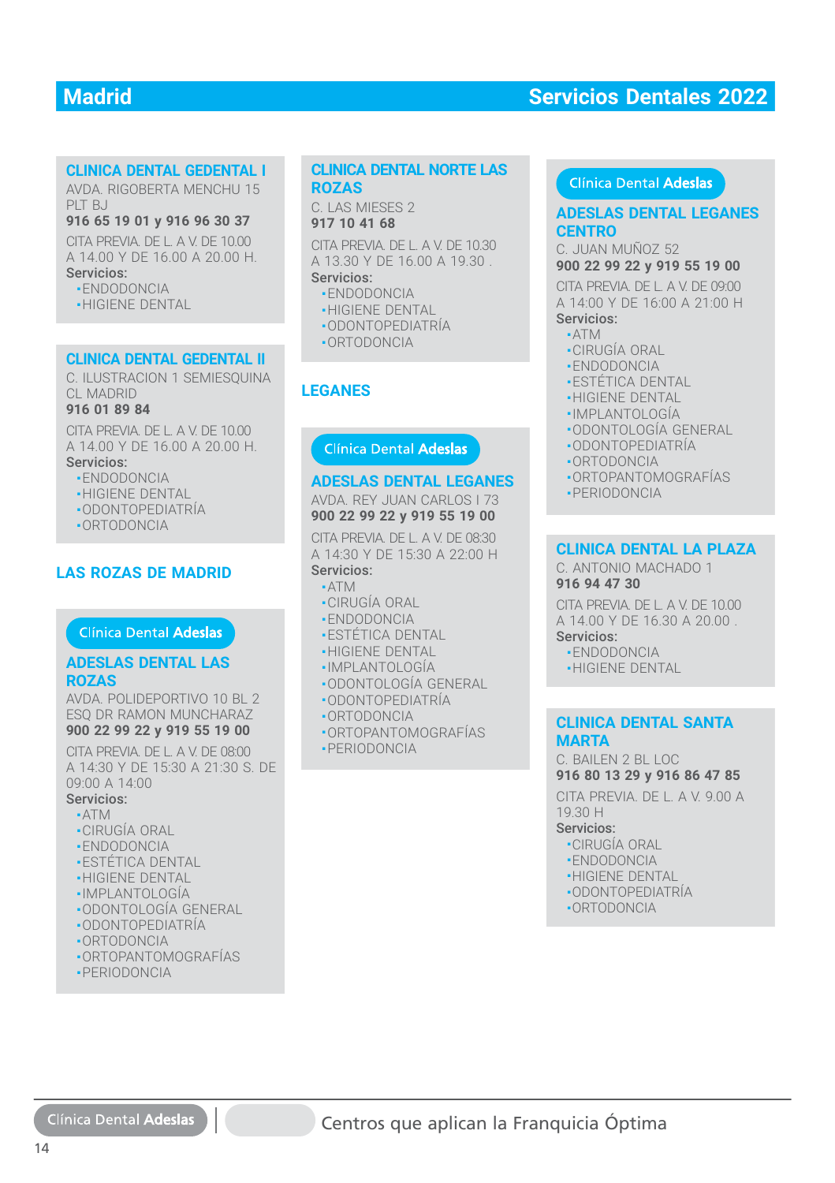#### **CLINICA DENTAL GEDENTAL I CLINICA DENTAL GEDENTAL I**

AVDA. RIGOBERTA MENCHU 15 AVDA. RIGOBERTA MENCHU 15 PLT BJ PLT BJ

#### **916 65 19 01 y 916 96 30 37 916 65 19 01 y 916 96 30 37**

CITA PREVIA. DE L. A V. DE 10.00 CITA PREVIA. DE L. A V. DE 10.00 A 14.00 Y DE 16.00 A 20.00 H. Servicios: Servicios:

■ ENDODONCIA ENDODONCIA

■ HIGIENE DENTAL ■ HIGIENE DENTAL

#### **CLINICA DENTAL GEDENTAL II CLINICA DENTAL GEDENTAL II**

C. ILUSTRACION 1 SEMIESQUINA C. ILUSTRACION 1 SEMIESQUINA CL MADRID CL MADRID

#### **916 01 89 84 916 01 89 84**

CITA PREVIA. DE L. A V. DE 10.00 A 14.00 Y DE 16.00 A 20.00 H. A 14.00 Y DE 16.00 A 20.00 H. Servicios: Servicios:

- ENDODONCIA ENDODONCIA
- HIGIENE DENTAL HIGIENE DENTAL
- ODONTOPEDIATRÍA ODONTOPEDIATRÍA
- ORTODONCIA ORTODONCIA

#### **LAS ROZAS DE MADRID**

#### **ADESLAS DENTAL LAS ROZAS**

AVDA. POLIDEPORTIVO 10 BL 2 ESQ DR RAMON MUNCHARAZ

## **900 22 99 22 y 919 55 19 00**

CITA PREVIA. DE L. A V. DE 08:00 A 14:30 Y DE 15:30 A 21:30 S. DE 09:00 A 14:00 **LINICA DENTAL CHENERY TELENCORRESPONDING CONTROLS CONTROLS CONTROLS CONTROLS CONTROLS CONTROLS CONTROLS CONTROLS CONTROLS CONTROLS CONTROLS CONTROLS CONTROLS CONTROLS CONTROLS CONTROLS CONTROLS CONTROLS CONTROLS CONTROLS** 

#### Servicios:

- ATM
- CIRUGÍA ORAL
- ENDODONCIA
- **-ESTÉTICA DENTAL** ֚֚֡֡֡֡֡֡
- **-HIGIENE DENTAL**
- IMPLANTOLOGÍA
- ODONTOLOGÍA GENERAL
- ODONTOPEDIATRÍA ODONTOPEDIATRÍA
- ORTODONCIA ■ORTODONCIA
- ORTOPANTOMOGRAFÍAS
- PERIODONCIA

## **ROZAS ROZAS CLINICA DENTAL NORTE LAS**

C. LAS MIESES 2 C. LAS MIESES 2 **917 10 41 68 917 10 41 68**

CITA PREVIA. DE L. A V. DE 10.30 CITA PREVIA. DE L. A V. DE 10.30 A 13.30 Y DE 16.00 A 19.30 . A 13.30 Y DE 16.00 A 19.30 . Servicios: Servicios:

- ENDODONCIA ENDODONCIA
- HIGIENE DENTAL HIGIENE DENTAL
- ODONTOPEDIATRÍA ODONTOPEDIATRÍA
- ORTODONCIA ORTODONCIA

#### **LEGANES**

#### **ADESLAS DENTAL LEGANES**

AVDA. REY JUAN CARLOS I 73 **900 22 99 22 y 919 55 19 00**

CITA PREVIA. DE L. A V. DE 08:30 A 14:30 Y DE 15:30 A 22:00 H Servicios:

#### ■ ATM

- CIRUGÍA ORAL
- ENDODONCIA
- **-ESTÉTICA DENTAL**
- HIGIENE DENTAL
- IMPLANTOLOGÍA
- ODONTOLOGÍA GENERAL
- ODONTOPEDIATRÍA
- ORTODONCIA
- ORTOPANTOMOGRAFÍAS
- PERIODONCIA

#### Clínica Dental Adeslas

# **CENTRO**

C. JUAN MUÑOZ 52

## **900 22 99 22 y 919 55 19 00**

ANTES<br>
TARREVIA DE LA V. DE 10.30<br>
TO 14168<br>
APREVIA DE LA V. DE 10.30<br>
C. UJAN MUÑOZ 52<br>
TRIODODONCIA<br>
HIGIENE DENTAL<br>
A 14:00 Y DE 16:00 A 21:00 HIGIEN<br>
ENDODONCIA<br>
A TATA DE DE LA V. DE 16:00 A 21:00 HIGIENE<br>
ODONTOPEDI CITA PREVIA. DE L. A V. DE 09:00 CITA PREVIA. DE L. A V. DE 09:00<br>A 14:00 Y DE 16:00 A 21:00 H Servicios: Servicios:

#### ■ ATM ■ATM

- CIRUGÍA ORAL ■CIRUGÍA ORAL
- ENDODONCIA
- **-ESTÉTICA DENTAL**
- HIGIENE DENTAL
- IMPLANTOLOGÍA
- ODONTOLOGÍA GENERAL ■■■■■■■■
- ODONTOPEDIATRÍA
- ORTODONCIA
- ORTOPANTOMOGRAFÍAS
- PERIODONCIA

#### **CLINICA DENTAL LA PLAZA CLINICA DENTAL LA PLAZA**

C. ANTONIO MACHADO 1 **916 94 47 30 916 94 47 30**

CITA PREVIA. DE L. A V. DE 10.00 CITA PREVIA. DE L. A V. DE 10.00 A 14.00 Y DE 16.30 A 20.00 . A 14.00 Y DE 16.30 A 20.00 .

- Servicios: Servicios:
- ENDODONCIA ENDODONCIA
- HIGIENE DENTAL HIGIENE DENTAL

#### **CLINICA DENTAL SANTA CLINICA DENTAL SANTA MARTA MARTA**

C. BAILEN 2 BL LOC C. BAILEN 2 BL LOC**916 80 13 29 y 916 86 47 85 916 80 13 29 y 916 86 47 85**

CITA PREVIA. DE L. A V. 9.00 A CITA PREVIA. DE L. A V. 9.00 A 19.30 H 19.30 H

- CIRUGÍA ORAL ■CIRUGÍA ORAL
- ENDODONCIA ■ENDODONCIA
- HIGIENE DENTAL HIGIENE DENTAL
- ODONTOPEDIATRÍA ODONTOPEDIATRÍA
- ORTODONCIA ORTODONCIA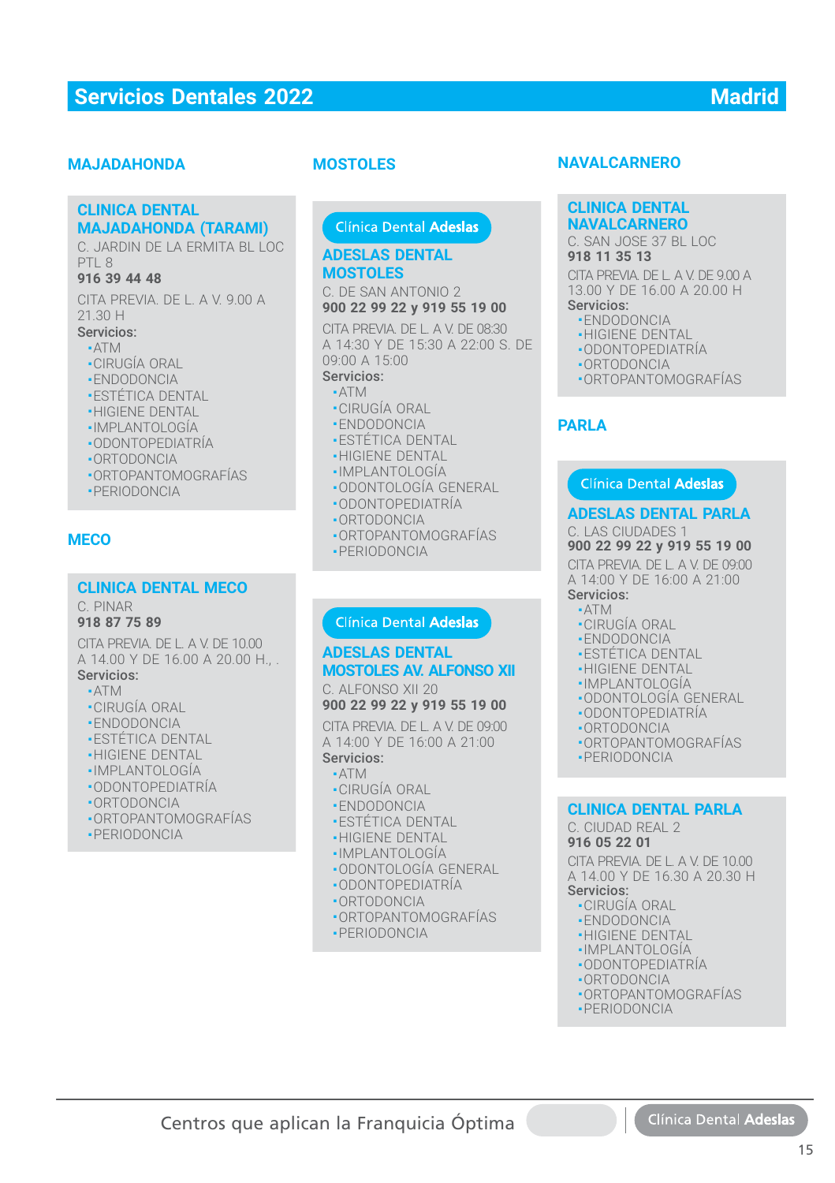#### **MAJADAHONDA**

#### **CLINICA DENTAL CLINICA DENTAL MAJADAHONDA (TARAMI) MAJADAHONDA (TARAMI)**

C. JARDIN DE LA ERMITA BL LOC C. JARDIN DE LA ERMITA BL LOC PTL 8 PTL 8

#### **916 39 44 48 916 39 44 48**

CITA PREVIA. DE L. A V. 9.00 A CITA PREVIA. DE L. A V. 9.00 A 21.30 H 21.30 H

#### Servicios: Servicios:

- ATM ATM
- CIRUGÍA ORAL CIRUGÍA ORAL
- ENDODONCIA ENDODONCIA
- ESTÉTICA DENTAL ESTÉTICA DENTAL
- HIGIENE DENTAL HIGIENE DENTAL
- IMPLANTOLOGÍA IMPLANTOLOGÍA
- ODONTOPEDIATRÍA ODONTOPEDIATRÍA
- ORTODONCIA ORTODONCIA
- ORTOPANTOMOGRAFÍAS ORTOPANTOMOGRAFÍAS
- PERIODONCIA PERIODONCIA

#### **MECO**

#### **CLINICA DENTAL MECO**

C. PINAR

#### **918 87 75 89**

CITA PREVIA. DE L. A V. DE 10.00 A 14.00 Y DE 16.00 A 20.00 H., .

#### Servicios:

- ATM
- CIRUGÍA ORAL
- ENDODONCIA
- ESTÉTICA DENTAL
- HIGIENE DENTAL
- IMPLANTOLOGÍA
- ODONTOPEDIATRÍA
- ORTODONCIA
- ORTOPANTOMOGRAFÍAS
- PERIODONCIA

#### **MOSTOLES**

Clínica Dental Adeslas

#### **ADESLAS DENTAL ADESLAS DENTALMOSTOLESMOSTOLES**

C. DE SAN ANTONIO 2 C. DE SAN ANTONIO 2**900 22 99 22 y 919 55 19 00 900 22 99 22 y 919 55 19 00**

CITA PREVIA. DE L. A V. DE 08:30 A 14:30 Y DE 15:30 A 22:00 S. DE 09:00 A 15:00

## Servicios:

- ATM ■
- CIRUGÍA ORAL
- ENDODONCIA
- ESTÉTICA DENTAL
- **-HIGIENE DENTAL**
- IMPLANTOLOGÍA ■
- ODONTOLOGÍA GENERAL ■ ODONTOPEDIATRÍA
- 
- ORTODONCIA ■
- ORTOPANTOMOGRAFÍAS ■
- PERIODONCIA

#### Clínica Dental Adeslas

#### **ADESLAS DENTAL ADESLAS DENTAL MOSTOLES AV. ALFONSO XII MOSTOLES AV. ALFONSO XII**

C. ALFONSO XII 20 C. ALFONSO XII 20 **900 22 99 22 y 919 55 19 00 900 22 99 22 y 919 55 19 00**

CITA PREVIA. DE L. A V. DE 09:00 CITA PREVIA. DE L. A V. DE 09:00 A 14:00 Y DE 16:00 A 21:00 A 14:00 Y DE 16:00 A 21:00 Servicios: Servicios:

#### ■ ATM ■ ATM

- CIRUGÍA ORAL CIRUGÍA ORAL
- ENDODONCIA ENDODONCIA
- ESTÉTICA DENTAL ESTÉTICA DENTAL
- HIGIENE DENTAL HIGIENE DENTAL
- IMPLANTOLOGÍA IMPLANTOLOGÍA
- ODONTOLOGÍA GENERAL ODONTOLOGÍA GENERAL
- ODONTOPEDIATRÍA ODONTOPEDIATRÍA
- ORTODONCIA ORTODONCIA
- ORTOPANTOMOGRAFÍAS ORTOPANTOMOGRAFÍAS
- PERIODONCIA PERIODONCIA

Centros que aplican la Franquicia Óptima

#### **NAVALCARNERO**

#### **CLINICA DENTAL CLINICA DENTAL NAVALCARNERO NAVALCARNERO**

#### C. SAN JOSE 37 BL LOC C. SAN JOSE 37 BL LOC **918 11 35 13 918 11 35 13**

CITA PREVIA. DE L. A V. DE 9.00 A CITA PREVIA. DE L. A V. DE 9.00 A 13.00 Y DE 16.00 A 20.00 H 13.00 Y DE 16.00 A 20.00 H Servicios: Servicios:

- ENDODONCIA ENDODONCIA
- 
- HIGIENE DENTAL HIGIENE DENTAL
- ODONTOPEDIATRÍA ODONTOPEDIATRÍA
- ORTODONCIA ORTODONCIA ■ ORTOPANTOMOGRAFÍAS ■ ORTOPANTOMOGRAFÍAS
- 

#### **PARLA**

#### Clínica Dental Adeslas

#### **ADESLAS DENTAL PARLA**

C. LAS CIUDADES 1 **900 22 99 22 y 919 55 19 00**

CITA PREVIA. DE L. A V. DE 09:00 A 14:00 Y DE 16:00 A 21:00

#### Servicios:

- ATM
- CIRUGÍA ORAL
- ENDODONCIA
- ESTÉTICA DENTAL
- HIGIENE DENTAL
- IMPLANTOLOGÍA
- ODONTOLOGÍA GENERAL
- ODONTOPEDIATRÍA
- ORTODONCIA
- ORTOPANTOMOGRAFÍAS
- PERIODONCIA

#### **CLINICA DENTAL PARLA CLINICA DENTAL PARLA**

C. CIUDAD REAL 2 C. CIUDAD REAL 2

#### **916 05 22 01 916 05 22 01**

CITA PREVIA. DE L. A V. DE 10.00 CITA PREVIA. DE L. A V. DE 10.00 A 14.00 Y DE 16.30 A 20.30 H A 14.00 Y DE 16.30 A 20.30 H Servicios: Servicios:

- CIRUGÍA ORAL CIRUGÍA ORAL
- ENDODONCIA ENDODONCIA
- HIGIENE DENTAL HIGIENE DENTAL ■ IMPLANTOLOGÍA ■ IMPLANTOLOGÍA

■ ODONTOPEDIATRÍA ■ ODONTOPEDIATRÍA ■ ORTODONCIA ■ ORTODONCIA ■ ORTOPANTOMOGRAFÍAS ■ ORTOPANTOMOGRAFÍAS ■ PERIODONCIA ■ PERIODONCIA

15

Clínica Dental Adesla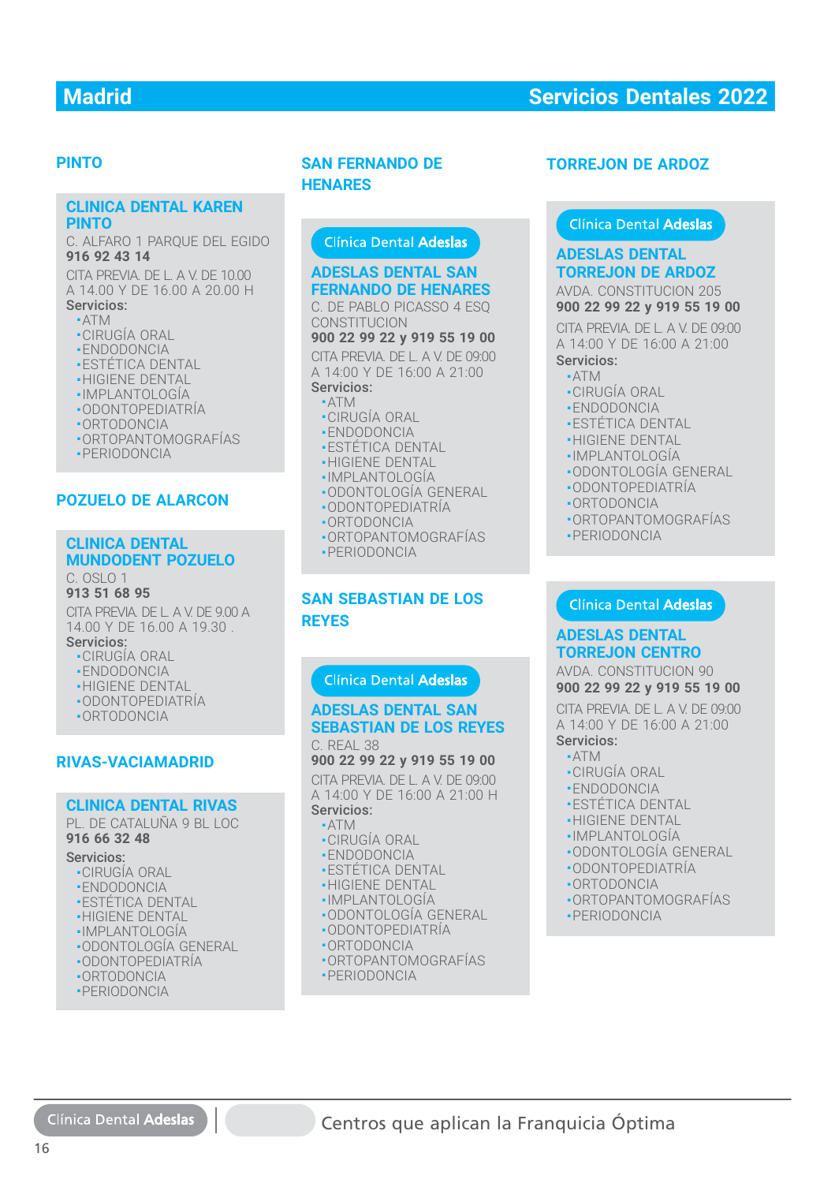#### **PINTO**

#### **CLINICA DENTAL KAREN CLINICA DENTAL KAREN PINTO PINTO**

C. ALFARO 1 PARQUE DEL EGIDO C. ALFARO 1 PARQUE DEL EGIDO **916 92 43 14 916 92 43 14**

CITA PREVIA. DE L. A V. DE 10.00 CITA PREVIA. DE L. A V. DE 10.00 A 14.00 Y DE 16.00 A 20.00 H A 14.00 Y DE 16.00 A 20.00 H Servicios: Servicios:

## ■ ATM ■ ATM

- CIRUGÍA ORAL CIRUGÍA ORAL
- ENDODONCIA ENDODONCIA
- ESTÉTICA DENTAL ESTÉTICA DENTAL
- HIGIENE DENTAL HIGIENE DENTAL
- IMPLANTOLOGÍA IMPLANTOLOGÍA
- ODONTOPEDIATRÍA ODONTOPEDIATRÍA
- ORTODONCIA ORTODONCIA
- ORTOPANTOMOGRAFÍAS ORTOPANTOMOGRAFÍAS
- PERIODONCIA PERIODONCIA

#### **POZUELO DE ALARCON**

#### **CLINICA DENTAL CLINICA DENTAL MUNDODENT POZUELO MUNDODENT POZUELO**

#### C. OSLO 1 **913 51 68 95 913 51 68 95**

CITA PREVIA. DE L. A V. DE 9.00 A CITA PREVIA. DE L. A V. DE 9.00 A 14.00 Y DE 16.00 A 19.30 . 14.00 Y DE 16.00 A 19.30 . Servicios: Servicios:

## ■ CIRUGÍA ORAL ■ CIRUGÍA ORAL

- ENDODONCIA ENDODONCIA
- HIGIENE DENTAL HIGIENE DENTAL
- ODONTOPEDIATRÍA ODONTOPEDIATRÍA
- ORTODONCIA ORTODONCIA

#### **RIVAS-VACIAMADRID**

#### **CLINICA DENTAL RIVAS CLINICA DENTAL RIVAS**

PL. DE CATALUÑA 9 BL LOC PL. DE CATALUÑA 9 BL LOC **916 66 32 48 916 66 32 48**

## Servicios: Servicios:

- CIRUGÍA ORAL CIRUGÍA ORAL
- ENDODONCIA ENDODONCIA
- ESTÉTICA DENTAL ESTÉTICA DENTAL
- HIGIENE DENTAL HIGIENE DENTAL
- IMPLANTOLOGÍA IMPLANTOLOGÍA
- ODONTOLOGÍA GENERAL ODONTOLOGÍA GENERAL
- ODONTOPEDIATRÍA ODONTOPEDIATRÍA
- ORTODONCIA ORTODONCIA
- PERIODONCIA PERIODONCIA

Clínica Dental Adeslas

16

#### **SAN FERNANDO DE HENARES**

#### **ADESLAS DENTAL SAN FERNANDO DE HENARES FERNANDO DE HENARES**

C. DE PABLO PICASSO 4 ESQ CONSTITUCION CONSTITUCION

**900 22 99 22 y 919 55 19 00**

CITA PREVIA. DE L. A V. DE 09:00 A 14:00 Y DE 16:00 A 21:00 A 14:00 Y DE 16:00 A 21:00Servicios:

#### $\blacksquare$  ATM

- •CIRUGIA ORAL
- ENDODONCIA ENDODONCIA
- ESTÉTICA DENTAL ■ESTÉTICA DENTAL
- •HIGIENE DENTẠL
- IMPLANTOLOGÍA IMPLANTOLOGÍA
- ODONTOLOGÍA GENERAL
- ODONTOPEDIATRÍA ODONTOPEDIATRÍA
- ORTODONCIA ■
- ORTOPANTOMOGRAFÍAS ORTOPANTOMOGRAFÍAS
- PERIODONCIA ■PERIODONCIA

#### **SAN SEBASTIAN DE LOS REYES**

# **ADESLAS DENTAL SAN ADESLAS DENTAL SANSEBASTIAN DE LOS REYES** C. REAL 38 **TORREJON DE ARDOZ<br>
Clinica Dental Adeslas<br>
Clinica Dental Adeslas<br>
DESLAS DENTAL SAN<br>
DESLAS DENTAL SAN<br>
DESLAS DENTAL SAN<br>
DESLAS DENTAL SAN<br>
DE PARIO PICASSO 4 50, 000 22 99 22 9 919 55 11<br>
DE PARIO PICASSO 4 0 000 22 9**

#### **900 22 99 22 y 919 55 19 00**

CITA PREVIA. DE L. A V. DE 09:00 A 14:00 Y DE 16:00 A 21:00 H

## Servicios:

- ATM
- CIRUGÍA ORAL ■CIRUGÍA ORAL■ ENDODONCIA
- ESTÉTICA DENTAL ■ESTÉTICA DENTAL
- HIGIENE DENTAL
- IMPLANTOLOGÍA IMPLANTOLOGÍA
- ODONTOLOGÍA GENERAL
- ODONTOPEDIATRÍA
- ORTODONCIA ■ORTODONCIA
- ORTOPANTOMOGRAFÍAS
- PERIODONCIA

Centros que aplican la Franquicia Óptima

## **ADESLAS DENTAL TORREJON DE ARDOZ ADESLAS DENTALTORREJON DE ARDOZ**

#### AVDA. CONSTITUCION 205 **900 22 99 22 y 919 55 19 00**

CITA PREVIA. DE L. A V. DE 09:00 A 14:00 Y DE 16:00 A 21:00 Servicios:

- $\triangle$ TM
- CIRUGÍA ORAL
- ENDODONCIA
- **ESTÉTICA DENTAL**
- **-HIGIENE DENTAL**
- IMPLANTOLOGÍA
- ODONTOLOGÍA GENERAL
- ODONTOPEDIATRÍA
- ORTODONCIA
- ORTOPANTOMOGRAFÍAS
- PERIODONCIA
- 

#### **ADESLAS DENTAL TORREJON CENTRO**

#### AVDA. CONSTITUCION 90 **900 22 99 22 y 919 55 19 00**

CITA PREVIA. DE L. A V. DE 09:00 CITA PREVIA. DE L. A V. DE 09:00<br>A 14:00 Y DE 16:00 A 21:00 Servicios: Servicios:

- ATM ■ATM
- CIRUGÍA ORAL ■CIRUGÍA ORAL
- ENDODONCIA ■ENDODONCIA
- ESTÉTICA DENTAL ■ESTÉTICA DENTAL
- HIGIENE DENTAL ■HIGIENE DENTAL
- IMPLANTOLOGÍA
- •IMPLANTOLOGÍA<br>•ODONTOLOGÍA GENERAL<br>•ODONTOPEDIATRÍA<br>•ORTODONCIA<br>•ORTOPANTOMOGRAFÍAS

■ ORTOPANTOMOGRAFÍAS

- ODONTOPEDIATRÍA
- ORTODONCIA ■ PERIODONCIA PERIODONCIA